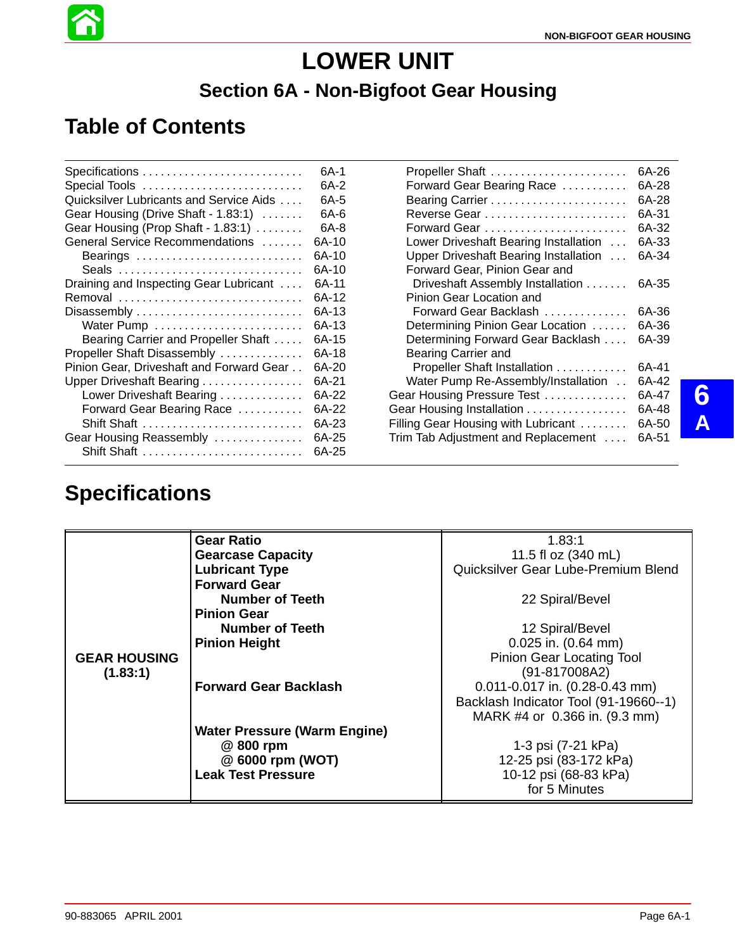Propeller Shaft 6A-26 . . . . . . . . . . . . . . . . . . . . . . . Forward Gear Bearing Race . . . . . . . . . . 6A-28 Bearing Carrier 6A-28 . . . . . . . . . . . . . . . . . . . . . . . Reverse Gear 6A-31 . . . . . . . . . . . . . . . . . . . . . . . . Forward Gear 6A-32 . . . . . . . . . . . . . . . . . . . . . . . . Lower Driveshaft Bearing Installation ... 6A-33 Upper Driveshaft Bearing Installation ... 6A-34

Driveshaft Assembly Installation . . . . . . . 6A-35

Forward Gear Backlash . . . . . . . . . . . . . 6A-36 Determining Pinion Gear Location ...... 6A-36

Trim Tab Adjustment and Replacement .... 6A-51

Forward Gear, Pinion Gear and

Pinion Gear Location and

# **LOWER UNIT Section 6A - Non-Bigfoot Gear Housing**

# **Table of Contents**

|                                          | 6A-1  |
|------------------------------------------|-------|
| Special Tools                            | 6A-2  |
| Quicksilver Lubricants and Service Aids  | 6A-5  |
| Gear Housing (Drive Shaft - 1.83:1)      | 6A-6  |
| Gear Housing (Prop Shaft - 1.83:1)       | 6A-8  |
| General Service Recommendations          | 6A-10 |
| Bearings                                 | 6A-10 |
|                                          | 6A-10 |
| Draining and Inspecting Gear Lubricant   | 6A-11 |
| Removal                                  | 6A-12 |
| Disassembly                              | 6A-13 |
|                                          | 6A-13 |
| Bearing Carrier and Propeller Shaft      | 6A-15 |
| Propeller Shaft Disassembly              | 6A-18 |
| Pinion Gear, Driveshaft and Forward Gear | 6A-20 |
| Upper Driveshaft Bearing                 | 6A-21 |
| Lower Driveshaft Bearing                 | 6A-22 |
| Forward Gear Bearing Race                | 6A-22 |
| Shift Shaft                              | 6A-23 |
| Gear Housing Reassembly                  | 6A-25 |
| Shift Shaft                              | 6A-25 |

## **Specifications**

|                     | <b>Gear Ratio</b>                   | 1.83:1                                 |
|---------------------|-------------------------------------|----------------------------------------|
|                     | <b>Gearcase Capacity</b>            | 11.5 fl oz (340 mL)                    |
|                     | <b>Lubricant Type</b>               | Quicksilver Gear Lube-Premium Blend    |
|                     | <b>Forward Gear</b>                 |                                        |
|                     | Number of Teeth                     | 22 Spiral/Bevel                        |
|                     | <b>Pinion Gear</b>                  |                                        |
|                     | Number of Teeth                     | 12 Spiral/Bevel                        |
|                     | <b>Pinion Height</b>                | $0.025$ in. $(0.64$ mm)                |
| <b>GEAR HOUSING</b> |                                     | <b>Pinion Gear Locating Tool</b>       |
| (1.83:1)            |                                     | $(91-817008A2)$                        |
|                     | <b>Forward Gear Backlash</b>        | $0.011 - 0.017$ in. $(0.28 - 0.43$ mm) |
|                     |                                     | Backlash Indicator Tool (91-19660--1)  |
|                     |                                     | MARK #4 or 0.366 in. (9.3 mm)          |
|                     | <b>Water Pressure (Warm Engine)</b> |                                        |
|                     | @ 800 rpm                           | 1-3 psi (7-21 kPa)                     |
|                     | @ 6000 rpm (WOT)                    | 12-25 psi (83-172 kPa)                 |
|                     | <b>Leak Test Pressure</b>           | 10-12 psi (68-83 kPa)                  |
|                     |                                     | for 5 Minutes                          |

| Determining Forward Gear Backlash  6A-39   |       |   |
|--------------------------------------------|-------|---|
| <b>Bearing Carrier and</b>                 |       |   |
| Propeller Shaft Installation  6A-41        |       |   |
| Water Pump Re-Assembly/Installation        | 6A-42 |   |
| Gear Housing Pressure Test  6A-47          |       |   |
| Gear Housing Installation 6A-48            |       |   |
| Filling Gear Housing with Lubricant  6A-50 |       | Δ |
|                                            |       |   |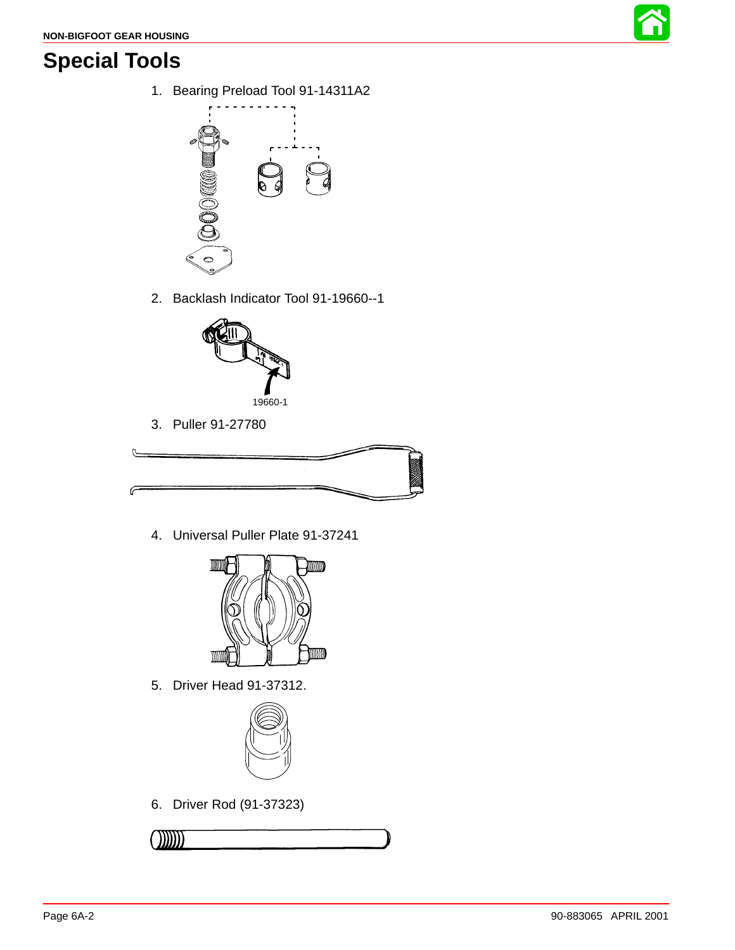

# **Special Tools**

1. Bearing Preload Tool 91-14311A2



2. Backlash Indicator Tool 91-19660--1



3. Puller 91-27780



4. Universal Puller Plate 91-37241



5. Driver Head 91-37312.



6. Driver Rod (91-37323)

$$
\begin{array}{c}\n\text{OMI} \\
\hline\n\end{array}
$$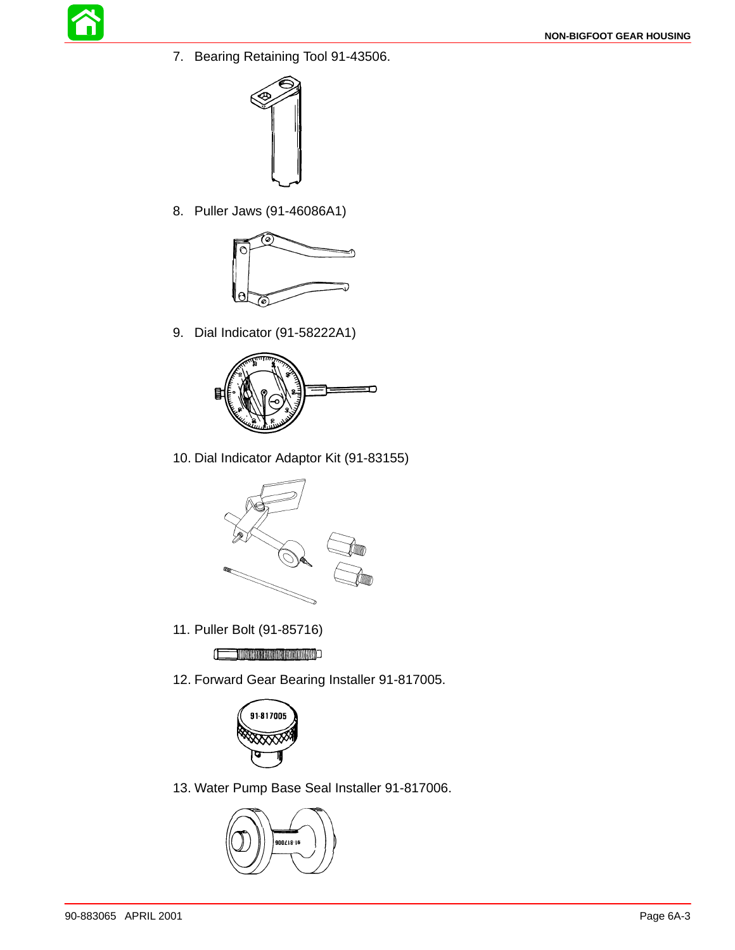

7. Bearing Retaining Tool 91-43506.



8. Puller Jaws (91-46086A1)



9. Dial Indicator (91-58222A1)



10. Dial Indicator Adaptor Kit (91-83155)



11. Puller Bolt (91-85716)

**CONTRACT AND INTERNATIONAL PROPERTY** 

12. Forward Gear Bearing Installer 91-817005.



13. Water Pump Base Seal Installer 91-817006.

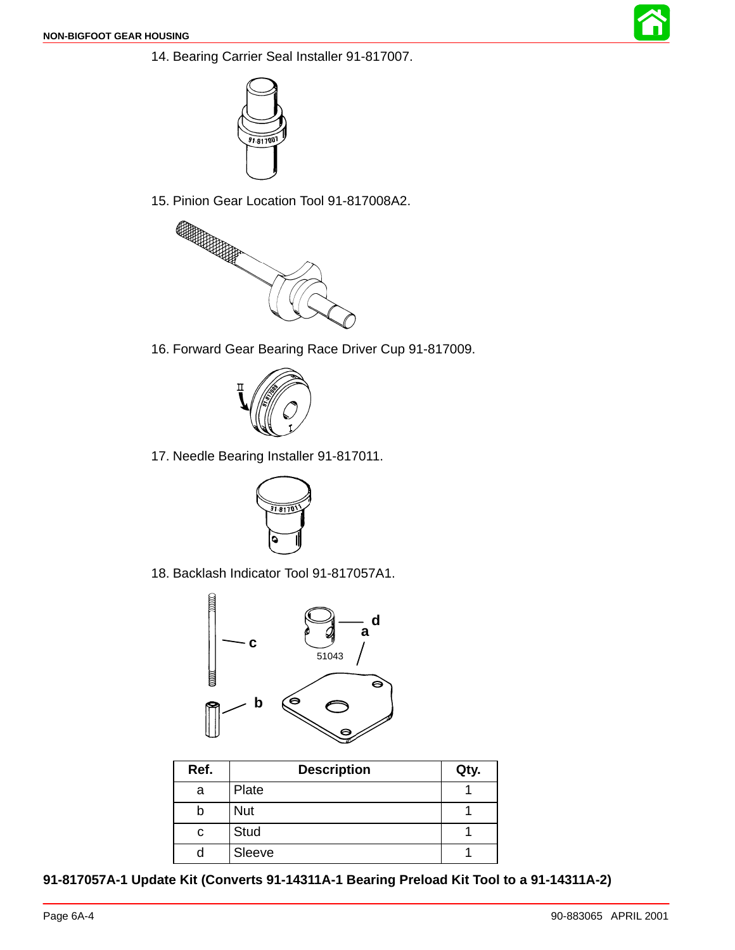<span id="page-3-0"></span>



15. Pinion Gear Location Tool 91-817008A2.



16. Forward Gear Bearing Race Driver Cup 91-817009.



17. Needle Bearing Installer 91-817011.



18. Backlash Indicator Tool 91-817057A1.



| Ref. | <b>Description</b> | Qty. |
|------|--------------------|------|
| a    | Plate              |      |
|      | <b>Nut</b>         |      |
| с    | <b>Stud</b>        |      |
|      | Sleeve             |      |

**91-817057A-1 Update Kit (Converts 91-14311A-1 Bearing Preload Kit Tool to a 91-14311A-2)**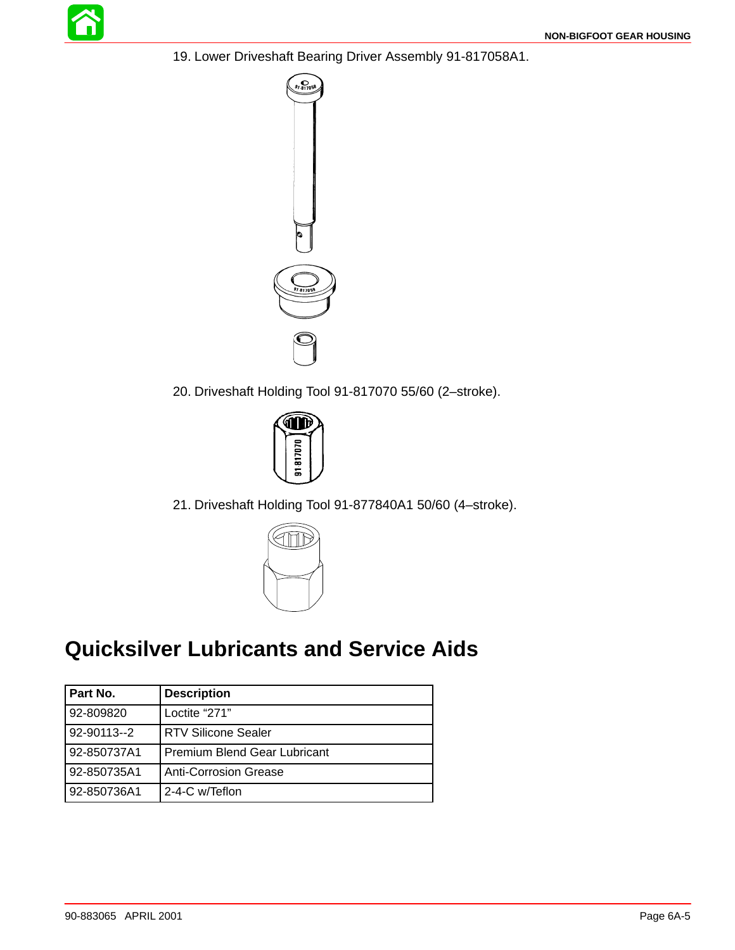

19. Lower Driveshaft Bearing Driver Assembly 91-817058A1.



20. Driveshaft Holding Tool 91-817070 55/60 (2–stroke).



21. Driveshaft Holding Tool 91-877840A1 50/60 (4–stroke).



# **Quicksilver Lubricants and Service Aids**

| Part No.    | <b>Description</b>                  |
|-------------|-------------------------------------|
| 92-809820   | Loctite "271"                       |
| 92-90113--2 | <b>RTV Silicone Sealer</b>          |
| 92-850737A1 | <b>Premium Blend Gear Lubricant</b> |
| 92-850735A1 | <b>Anti-Corrosion Grease</b>        |
| 92-850736A1 | 2-4-C w/Teflon                      |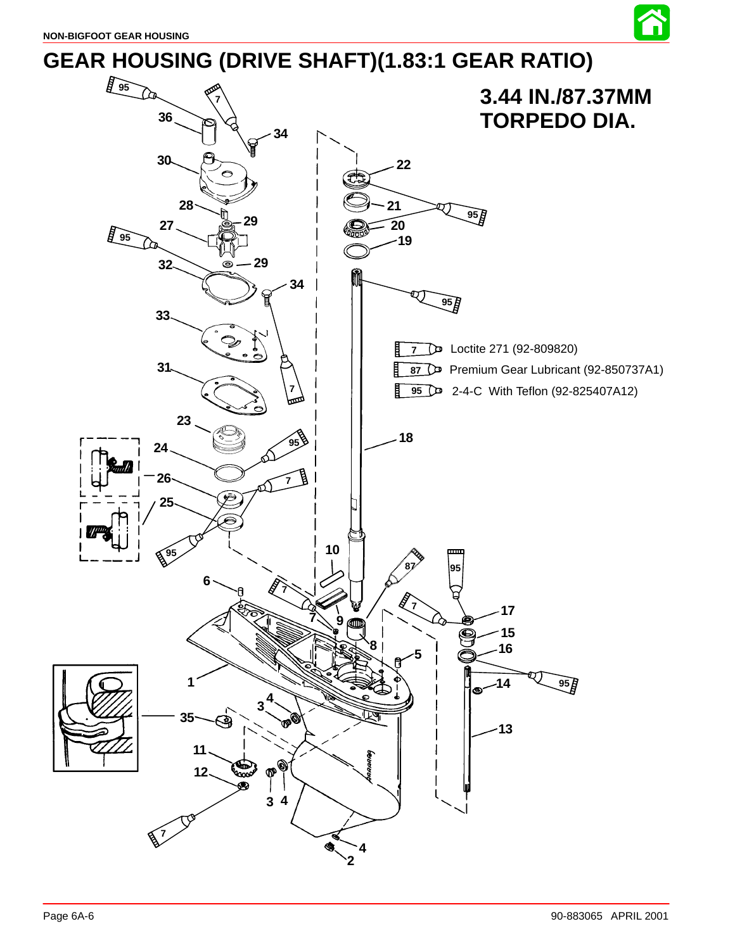

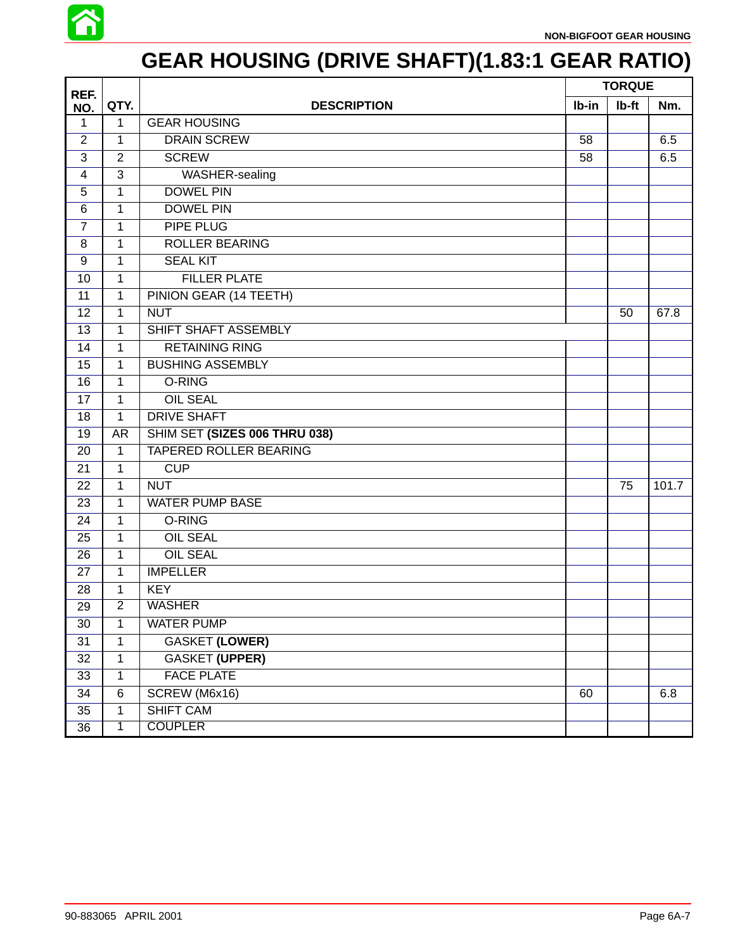

# **GEAR HOUSING (DRIVE SHAFT)(1.83:1 GEAR RATIO)**

| REF.           |                |                               |       | <b>TORQUE</b> |       |
|----------------|----------------|-------------------------------|-------|---------------|-------|
| NO.            | QTY.           | <b>DESCRIPTION</b>            | Ib-in | Ib-ft         | Nm.   |
| 1              | 1              | <b>GEAR HOUSING</b>           |       |               |       |
| $\overline{2}$ | 1              | <b>DRAIN SCREW</b>            | 58    |               | 6.5   |
| 3              | $\overline{2}$ | <b>SCREW</b>                  | 58    |               | 6.5   |
| 4              | $\overline{3}$ | WASHER-sealing                |       |               |       |
| 5              | 1              | <b>DOWEL PIN</b>              |       |               |       |
| 6              | 1              | <b>DOWEL PIN</b>              |       |               |       |
| $\overline{7}$ | 1              | PIPE PLUG                     |       |               |       |
| 8              | 1              | <b>ROLLER BEARING</b>         |       |               |       |
| 9              | 1              | <b>SEAL KIT</b>               |       |               |       |
| 10             | 1              | <b>FILLER PLATE</b>           |       |               |       |
| 11             | 1              | PINION GEAR (14 TEETH)        |       |               |       |
| 12             | $\mathbf{1}$   | <b>NUT</b>                    |       | 50            | 67.8  |
| 13             | 1              | SHIFT SHAFT ASSEMBLY          |       |               |       |
| 14             | 1              | <b>RETAINING RING</b>         |       |               |       |
| 15             | 1              | <b>BUSHING ASSEMBLY</b>       |       |               |       |
| 16             | $\mathbf{1}$   | O-RING                        |       |               |       |
| 17             | 1              | <b>OIL SEAL</b>               |       |               |       |
| 18             | 1              | <b>DRIVE SHAFT</b>            |       |               |       |
| 19             | AR             | SHIM SET (SIZES 006 THRU 038) |       |               |       |
| 20             | 1              | <b>TAPERED ROLLER BEARING</b> |       |               |       |
| 21             | $\mathbf{1}$   | <b>CUP</b>                    |       |               |       |
| 22             | $\mathbf{1}$   | <b>NUT</b>                    |       | 75            | 101.7 |
| 23             | 1              | <b>WATER PUMP BASE</b>        |       |               |       |
| 24             | 1              | O-RING                        |       |               |       |
| 25             | 1              | <b>OIL SEAL</b>               |       |               |       |
| 26             | $\mathbf{1}$   | <b>OIL SEAL</b>               |       |               |       |
| 27             | 1              | <b>IMPELLER</b>               |       |               |       |
| 28             | 1              | <b>KEY</b>                    |       |               |       |
| 29             | $\overline{2}$ | <b>WASHER</b>                 |       |               |       |
| 30             | $\mathbf{1}$   | <b>WATER PUMP</b>             |       |               |       |
| 31             | $\mathbf{1}$   | <b>GASKET (LOWER)</b>         |       |               |       |
| 32             | $\mathbf{1}$   | <b>GASKET (UPPER)</b>         |       |               |       |
| 33             | $\mathbf{1}$   | <b>FACE PLATE</b>             |       |               |       |
| 34             | $\,6\,$        | SCREW (M6x16)                 | 60    |               | 6.8   |
| 35             | 1              | <b>SHIFT CAM</b>              |       |               |       |
| 36             | 1              | <b>COUPLER</b>                |       |               |       |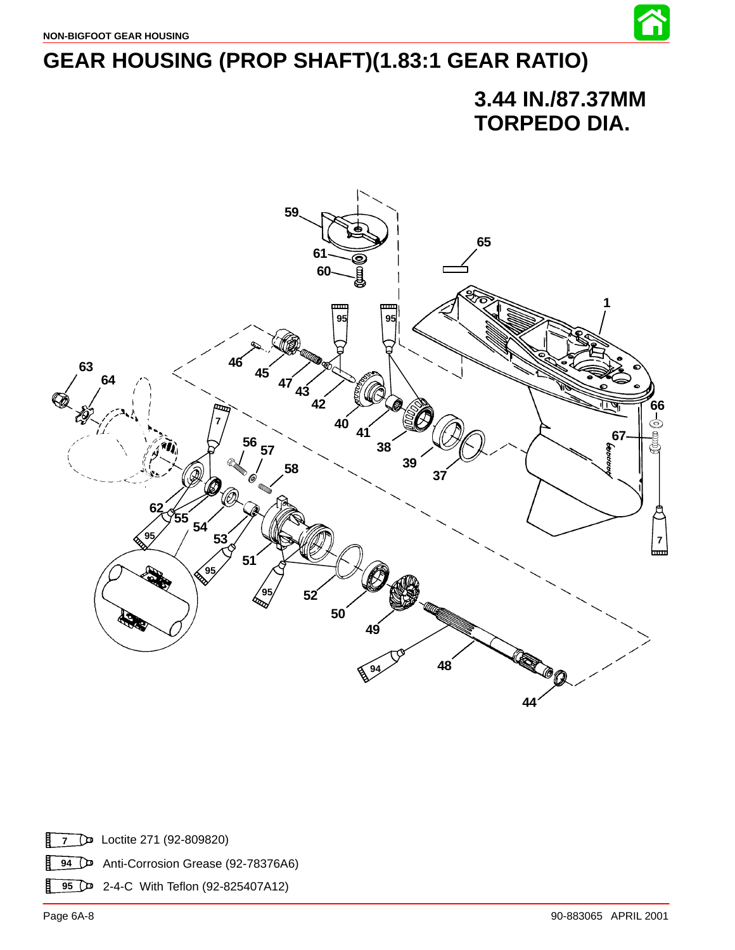

# **GEAR HOUSING (PROP SHAFT)(1.83:1 GEAR RATIO)**

## **3.44 IN./87.37MM TORPEDO DIA.**



目 Loctite 271 (92-809820) Anti-Corrosion Grease (92-78376A6) Ħ 2-4-C With Teflon (92-825407A12)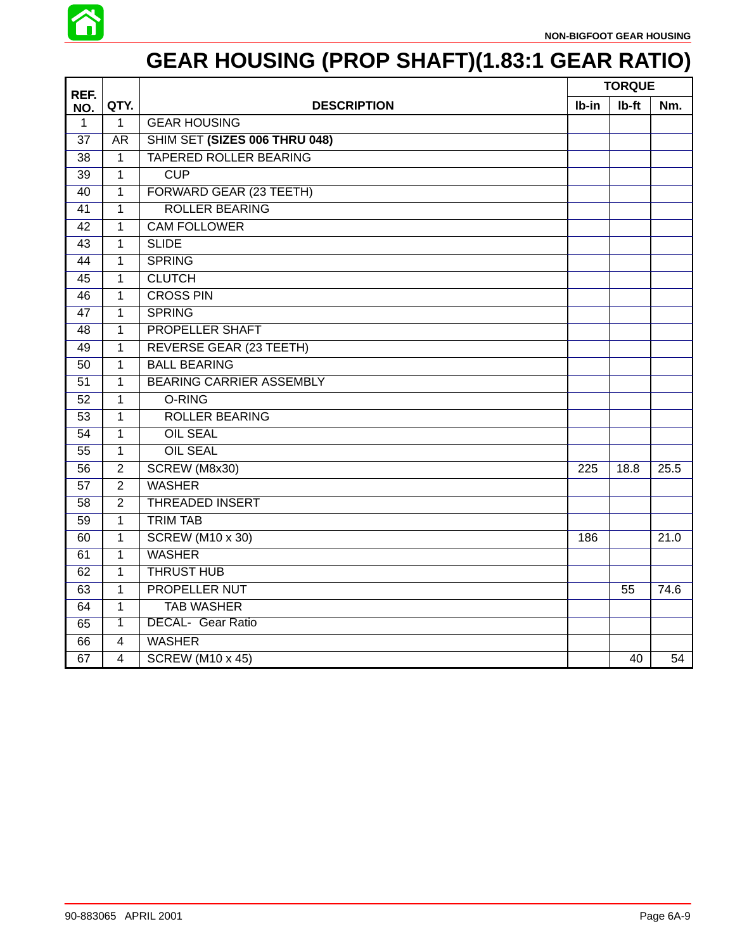

# **GEAR HOUSING (PROP SHAFT)(1.83:1 GEAR RATIO)**

| REF.            |                |                                 |       | <b>TORQUE</b> |      |
|-----------------|----------------|---------------------------------|-------|---------------|------|
| NO.             | QTY.           | <b>DESCRIPTION</b>              | Ib-in | Ib-ft         | Nm.  |
| $\mathbf{1}$    | $\mathbf{1}$   | <b>GEAR HOUSING</b>             |       |               |      |
| 37              | <b>AR</b>      | SHIM SET (SIZES 006 THRU 048)   |       |               |      |
| 38              | 1              | <b>TAPERED ROLLER BEARING</b>   |       |               |      |
| 39              | 1              | CUP                             |       |               |      |
| 40              | 1              | FORWARD GEAR (23 TEETH)         |       |               |      |
| 41              | $\mathbf{1}$   | <b>ROLLER BEARING</b>           |       |               |      |
| 42              | 1              | <b>CAM FOLLOWER</b>             |       |               |      |
| 43              | 1              | <b>SLIDE</b>                    |       |               |      |
| 44              | 1              | <b>SPRING</b>                   |       |               |      |
| 45              | 1              | <b>CLUTCH</b>                   |       |               |      |
| $\overline{46}$ | $\mathbf{1}$   | <b>CROSS PIN</b>                |       |               |      |
| 47              | 1              | <b>SPRING</b>                   |       |               |      |
| 48              | 1              | PROPELLER SHAFT                 |       |               |      |
| 49              | 1              | REVERSE GEAR (23 TEETH)         |       |               |      |
| 50              | 1              | <b>BALL BEARING</b>             |       |               |      |
| 51              | 1              | <b>BEARING CARRIER ASSEMBLY</b> |       |               |      |
| 52              | 1              | O-RING                          |       |               |      |
| $\overline{53}$ | $\mathbf{1}$   | <b>ROLLER BEARING</b>           |       |               |      |
| 54              | 1              | <b>OIL SEAL</b>                 |       |               |      |
| 55              | 1              | <b>OIL SEAL</b>                 |       |               |      |
| 56              | $\overline{2}$ | SCREW (M8x30)                   | 225   | 18.8          | 25.5 |
| 57              | $\overline{2}$ | <b>WASHER</b>                   |       |               |      |
| 58              | $\overline{2}$ | <b>THREADED INSERT</b>          |       |               |      |
| 59              | $\mathbf{1}$   | <b>TRIM TAB</b>                 |       |               |      |
| 60              | 1              | <b>SCREW (M10 x 30)</b>         |       |               | 21.0 |
| 61              | 1              | <b>WASHER</b>                   |       |               |      |
| 62              | 1              | <b>THRUST HUB</b>               |       |               |      |
| 63              | $\mathbf 1$    | <b>PROPELLER NUT</b>            |       | 55            | 74.6 |
| 64              | 1              | <b>TAB WASHER</b>               |       |               |      |
| 65              | 1              | <b>DECAL- Gear Ratio</b>        |       |               |      |
| 66              | 4              | <b>WASHER</b>                   |       |               |      |
| 67              | 4              | <b>SCREW (M10 x 45)</b>         |       | 40            | 54   |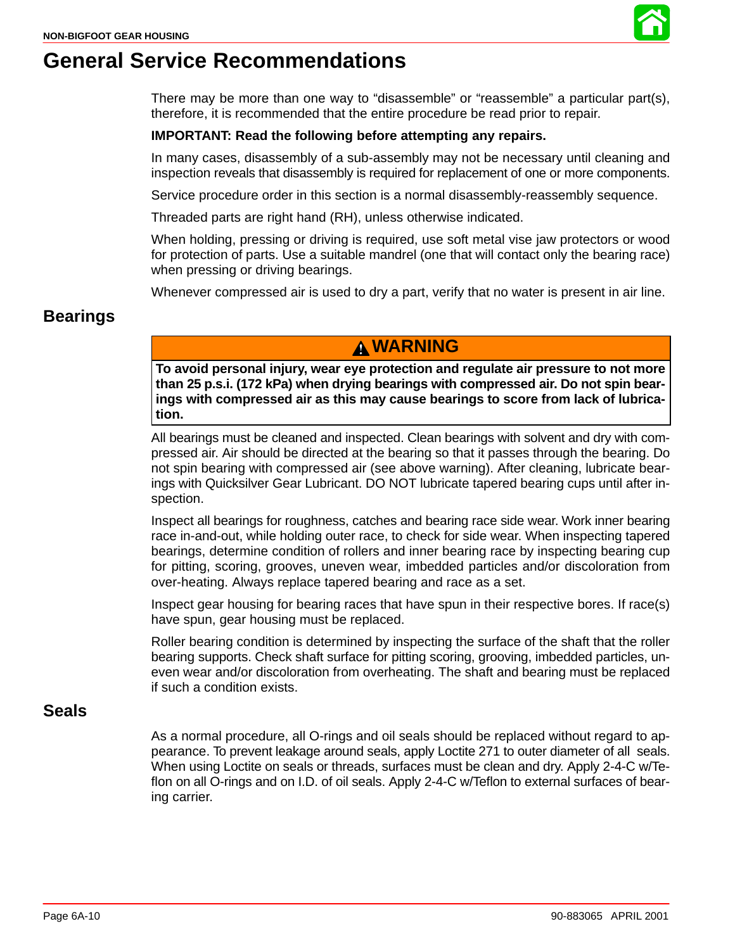

## **General Service Recommendations**

There may be more than one way to "disassemble" or "reassemble" a particular part(s), therefore, it is recommended that the entire procedure be read prior to repair.

#### **IMPORTANT: Read the following before attempting any repairs.**

In many cases, disassembly of a sub-assembly may not be necessary until cleaning and inspection reveals that disassembly is required for replacement of one or more components.

Service procedure order in this section is a normal disassembly-reassembly sequence.

Threaded parts are right hand (RH), unless otherwise indicated.

When holding, pressing or driving is required, use soft metal vise jaw protectors or wood for protection of parts. Use a suitable mandrel (one that will contact only the bearing race) when pressing or driving bearings.

Whenever compressed air is used to dry a part, verify that no water is present in air line.

#### **Bearings**

### **WARNING**

**To avoid personal injury, wear eye protection and regulate air pressure to not more than 25 p.s.i. (172 kPa) when drying bearings with compressed air. Do not spin bearings with compressed air as this may cause bearings to score from lack of lubrication.**

All bearings must be cleaned and inspected. Clean bearings with solvent and dry with compressed air. Air should be directed at the bearing so that it passes through the bearing. Do not spin bearing with compressed air (see above warning). After cleaning, lubricate bearings with Quicksilver Gear Lubricant. DO NOT lubricate tapered bearing cups until after inspection.

Inspect all bearings for roughness, catches and bearing race side wear. Work inner bearing race in-and-out, while holding outer race, to check for side wear. When inspecting tapered bearings, determine condition of rollers and inner bearing race by inspecting bearing cup for pitting, scoring, grooves, uneven wear, imbedded particles and/or discoloration from over-heating. Always replace tapered bearing and race as a set.

Inspect gear housing for bearing races that have spun in their respective bores. If race(s) have spun, gear housing must be replaced.

Roller bearing condition is determined by inspecting the surface of the shaft that the roller bearing supports. Check shaft surface for pitting scoring, grooving, imbedded particles, uneven wear and/or discoloration from overheating. The shaft and bearing must be replaced if such a condition exists.

#### **Seals**

As a normal procedure, all O-rings and oil seals should be replaced without regard to appearance. To prevent leakage around seals, apply Loctite 271 to outer diameter of all seals. When using Loctite on seals or threads, surfaces must be clean and dry. Apply 2-4-C w/Teflon on all O-rings and on I.D. of oil seals. Apply 2-4-C w/Teflon to external surfaces of bearing carrier.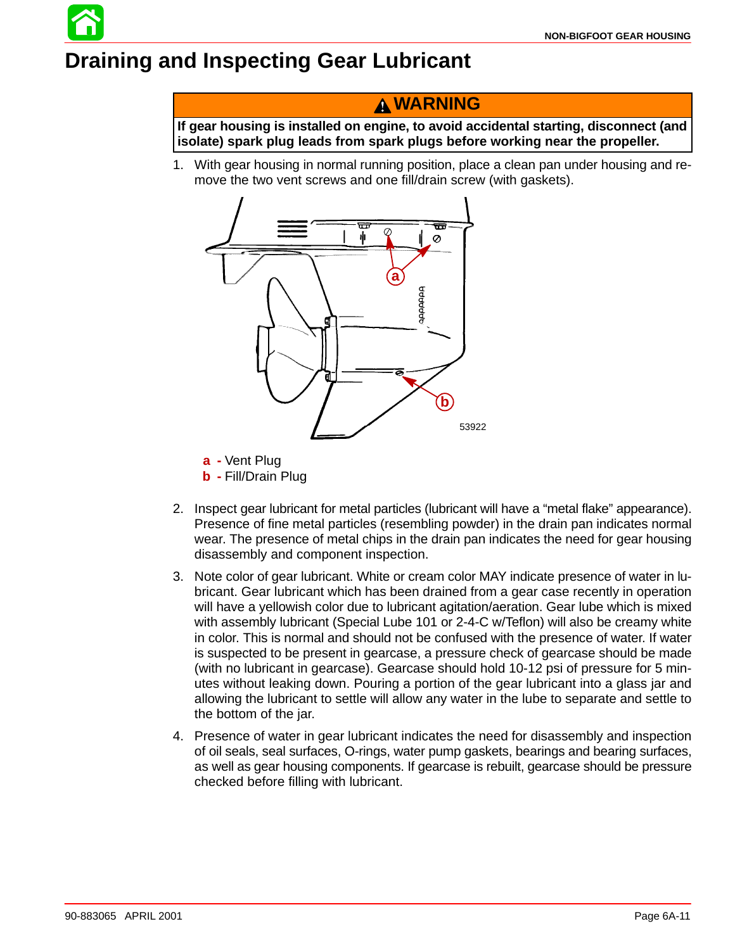# **Draining and Inspecting Gear Lubricant**

## **WARNING**

**If gear housing is installed on engine, to avoid accidental starting, disconnect (and isolate) spark plug leads from spark plugs before working near the propeller.**

1. With gear housing in normal running position, place a clean pan under housing and remove the two vent screws and one fill/drain screw (with gaskets).



- **a -** Vent Plug
- **b -** Fill/Drain Plug
- 2. Inspect gear lubricant for metal particles (lubricant will have a "metal flake" appearance). Presence of fine metal particles (resembling powder) in the drain pan indicates normal wear. The presence of metal chips in the drain pan indicates the need for gear housing disassembly and component inspection.
- 3. Note color of gear lubricant. White or cream color MAY indicate presence of water in lubricant. Gear lubricant which has been drained from a gear case recently in operation will have a yellowish color due to lubricant agitation/aeration. Gear lube which is mixed with assembly lubricant (Special Lube 101 or 2-4-C w/Teflon) will also be creamy white in color. This is normal and should not be confused with the presence of water. If water is suspected to be present in gearcase, a pressure check of gearcase should be made (with no lubricant in gearcase). Gearcase should hold 10-12 psi of pressure for 5 minutes without leaking down. Pouring a portion of the gear lubricant into a glass jar and allowing the lubricant to settle will allow any water in the lube to separate and settle to the bottom of the jar.
- 4. Presence of water in gear lubricant indicates the need for disassembly and inspection of oil seals, seal surfaces, O-rings, water pump gaskets, bearings and bearing surfaces, as well as gear housing components. If gearcase is rebuilt, gearcase should be pressure checked before filling with lubricant.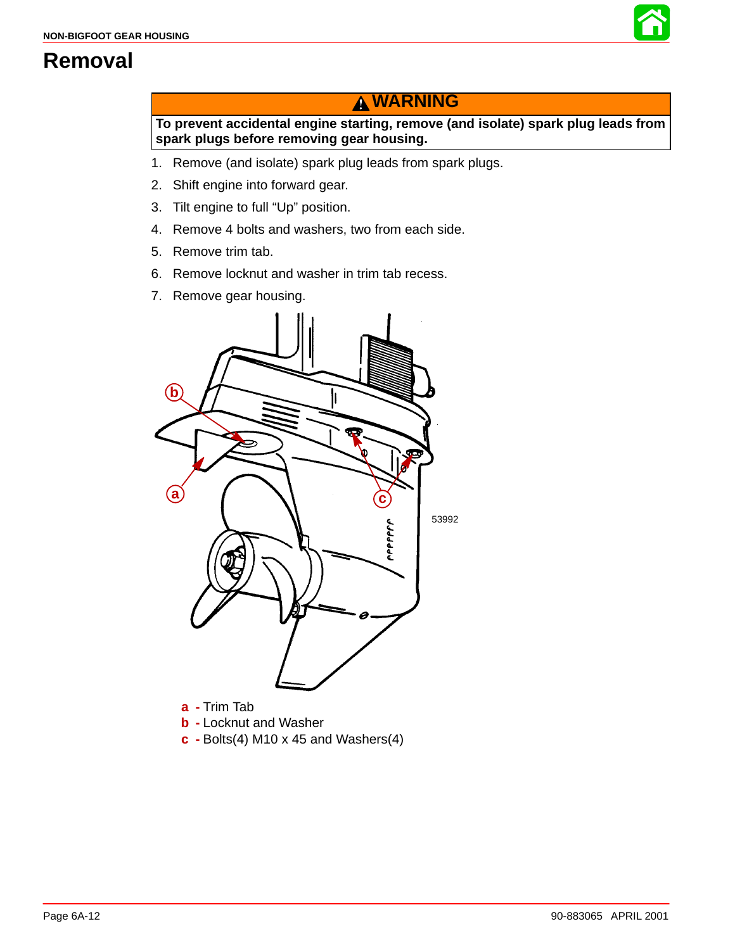

## **Removal**

## **WARNING**

**To prevent accidental engine starting, remove (and isolate) spark plug leads from spark plugs before removing gear housing.**

- 1. Remove (and isolate) spark plug leads from spark plugs.
- 2. Shift engine into forward gear.
- 3. Tilt engine to full "Up" position.
- 4. Remove 4 bolts and washers, two from each side.
- 5. Remove trim tab.
- 6. Remove locknut and washer in trim tab recess.
- 7. Remove gear housing.



**b -** Locknut and Washer

**c -** Bolts(4) M10 x 45 and Washers(4)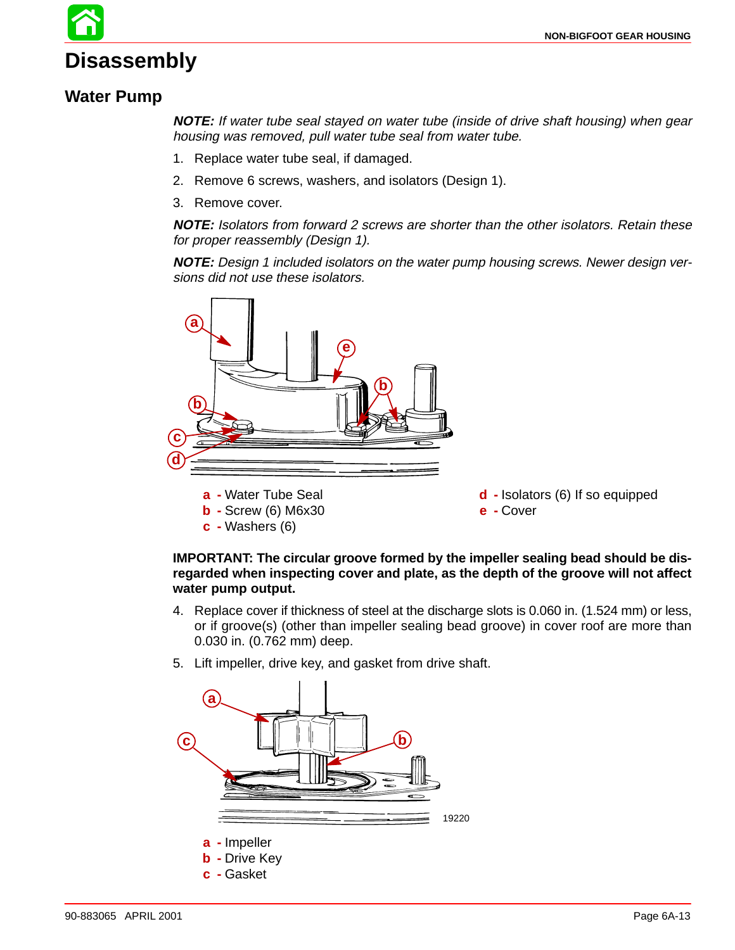# **Disassembly**

#### **Water Pump**

**NOTE:** If water tube seal stayed on water tube (inside of drive shaft housing) when gear housing was removed, pull water tube seal from water tube.

- 1. Replace water tube seal, if damaged.
- 2. Remove 6 screws, washers, and isolators (Design 1).
- 3. Remove cover.

**NOTE:** Isolators from forward 2 screws are shorter than the other isolators. Retain these for proper reassembly (Design 1).

**NOTE:** Design 1 included isolators on the water pump housing screws. Newer design versions did not use these isolators.



#### **IMPORTANT: The circular groove formed by the impeller sealing bead should be disregarded when inspecting cover and plate, as the depth of the groove will not affect water pump output.**

- 4. Replace cover if thickness of steel at the discharge slots is 0.060 in. (1.524 mm) or less, or if groove(s) (other than impeller sealing bead groove) in cover roof are more than 0.030 in. (0.762 mm) deep.
- 5. Lift impeller, drive key, and gasket from drive shaft.

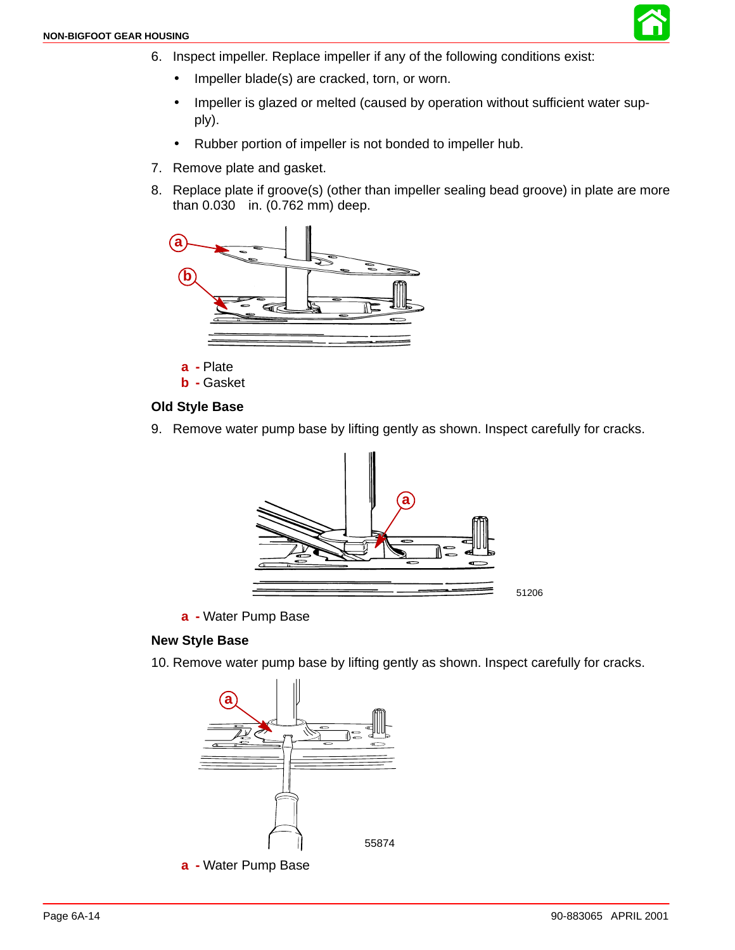

- 6. Inspect impeller. Replace impeller if any of the following conditions exist:
	- Impeller blade(s) are cracked, torn, or worn.
	- Impeller is glazed or melted (caused by operation without sufficient water supply).
	- Rubber portion of impeller is not bonded to impeller hub.
- 7. Remove plate and gasket.
- 8. Replace plate if groove(s) (other than impeller sealing bead groove) in plate are more than 0.030 in. (0.762 mm) deep.



**b -** Gasket

#### **Old Style Base**

9. Remove water pump base by lifting gently as shown. Inspect carefully for cracks.



**a -** Water Pump Base

#### **New Style Base**

10. Remove water pump base by lifting gently as shown. Inspect carefully for cracks.



**a -** Water Pump Base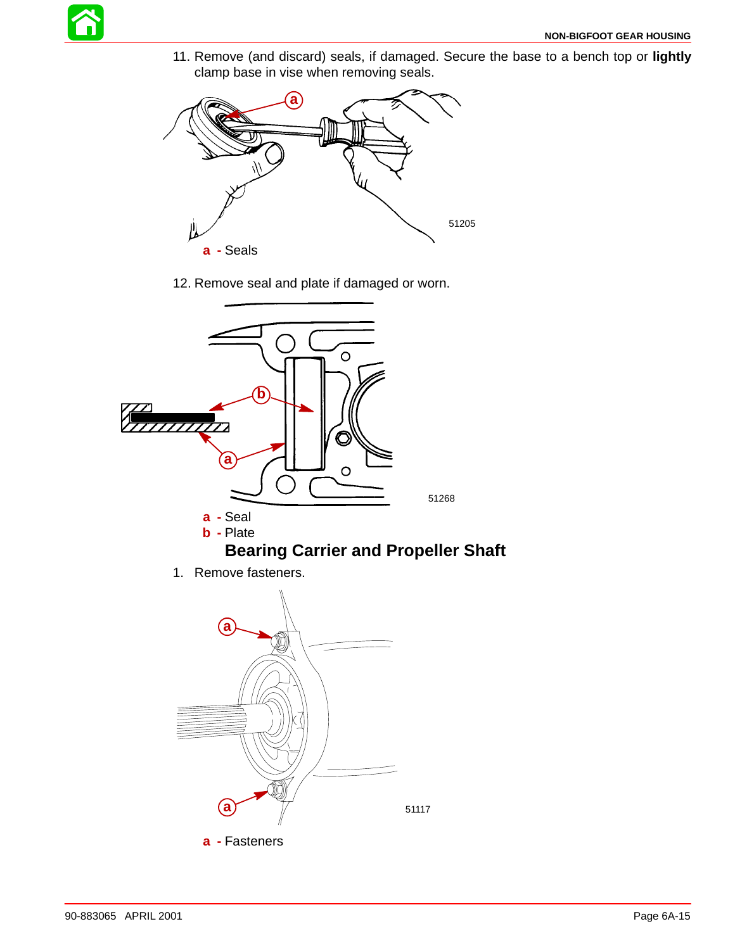

11. Remove (and discard) seals, if damaged. Secure the base to a bench top or **lightly** clamp base in vise when removing seals.



12. Remove seal and plate if damaged or worn.



1. Remove fasteners.

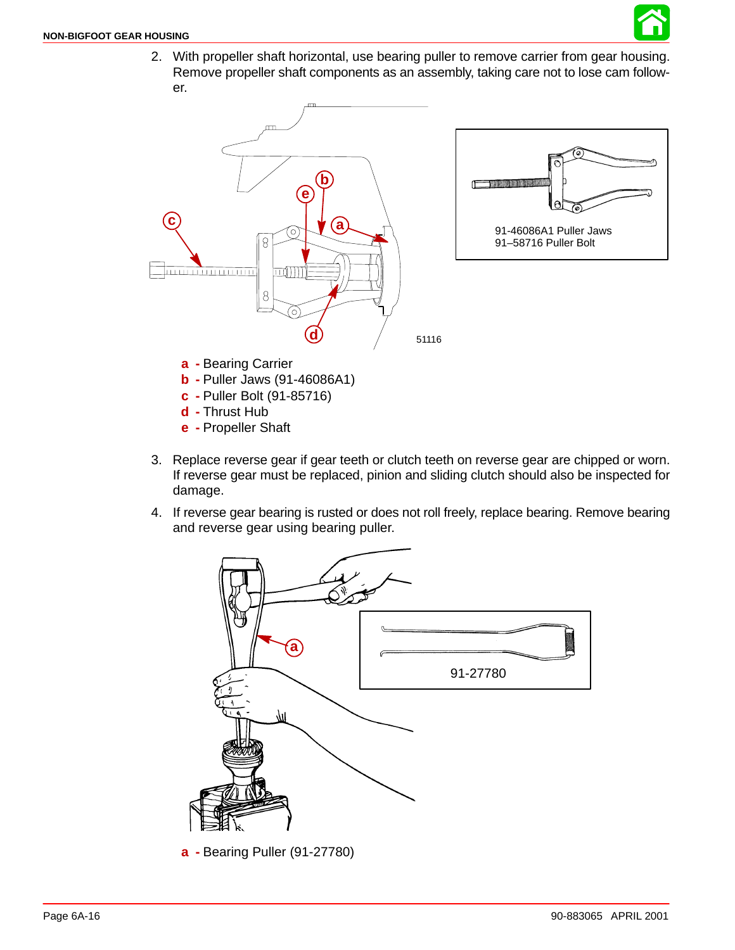

2. With propeller shaft horizontal, use bearing puller to remove carrier from gear housing. Remove propeller shaft components as an assembly, taking care not to lose cam follower.



- **e -** Propeller Shaft
- 3. Replace reverse gear if gear teeth or clutch teeth on reverse gear are chipped or worn. If reverse gear must be replaced, pinion and sliding clutch should also be inspected for damage.
- 4. If reverse gear bearing is rusted or does not roll freely, replace bearing. Remove bearing and reverse gear using bearing puller.



**a -** Bearing Puller (91-27780)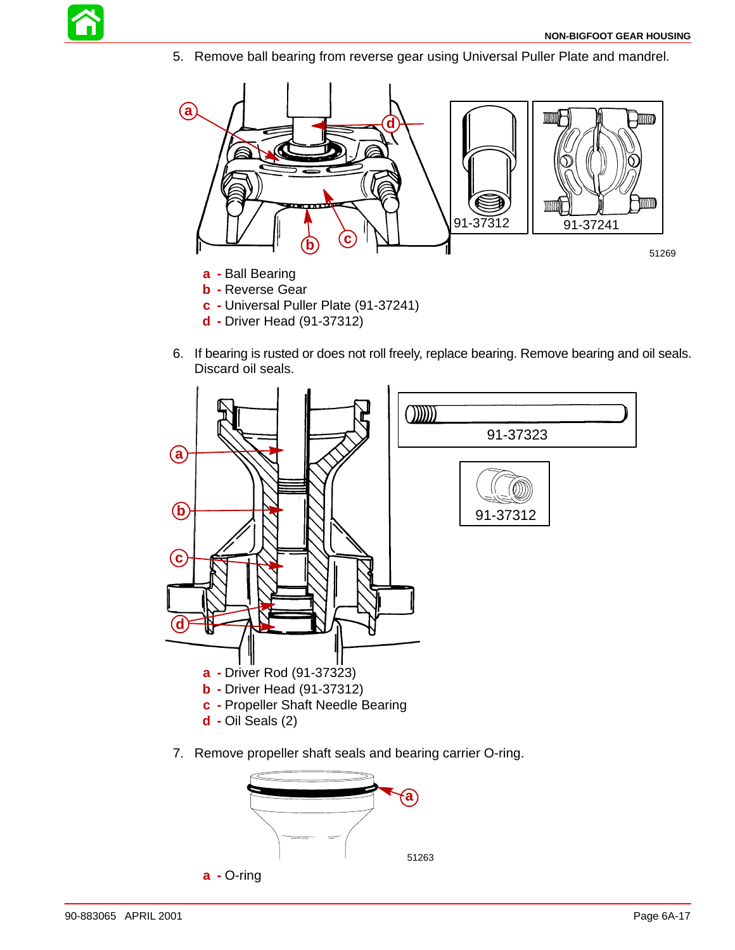

5. Remove ball bearing from reverse gear using Universal Puller Plate and mandrel.



- **b -** Reverse Gear
- **c -** Universal Puller Plate (91-37241)
- **d -** Driver Head (91-37312)
- 6. If bearing is rusted or does not roll freely, replace bearing. Remove bearing and oil seals. Discard oil seals.



7. Remove propeller shaft seals and bearing carrier O-ring.

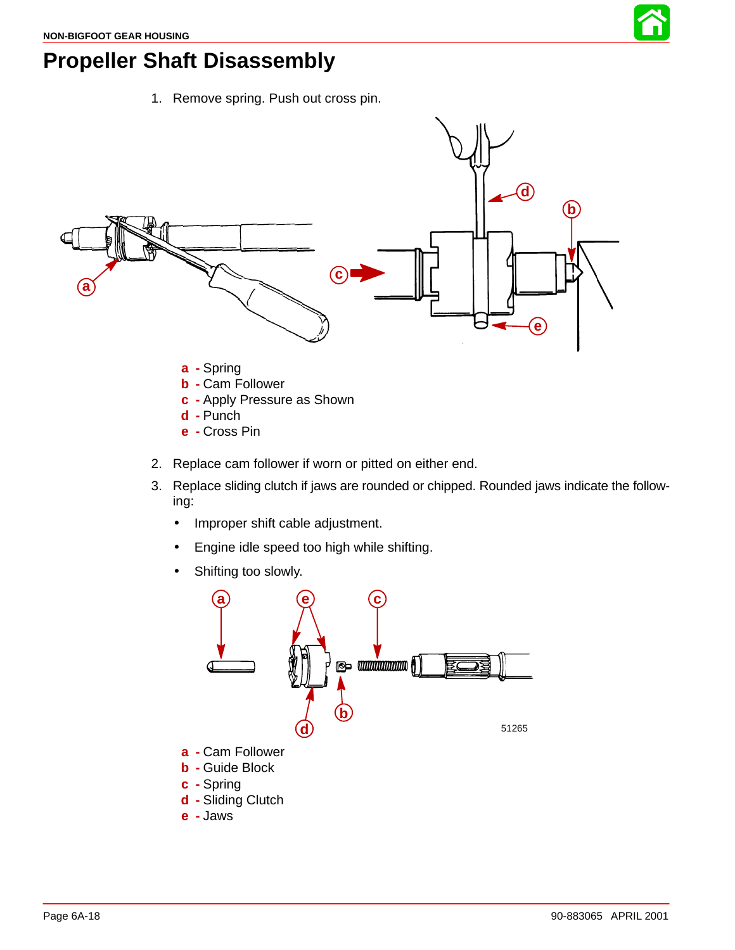

## **Propeller Shaft Disassembly**

1. Remove spring. Push out cross pin.



- **e -** Cross Pin
- 2. Replace cam follower if worn or pitted on either end.
- 3. Replace sliding clutch if jaws are rounded or chipped. Rounded jaws indicate the following:
	- Improper shift cable adjustment.
	- Engine idle speed too high while shifting.
	- Shifting too slowly.

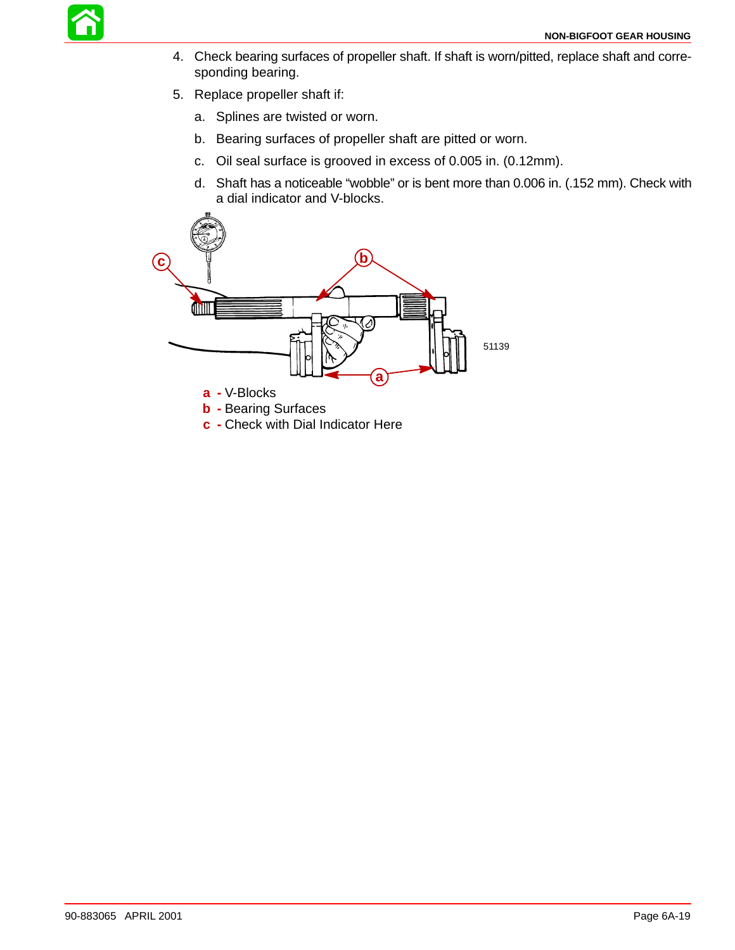

- 4. Check bearing surfaces of propeller shaft. If shaft is worn/pitted, replace shaft and corresponding bearing.
- 5. Replace propeller shaft if:
	- a. Splines are twisted or worn.
	- b. Bearing surfaces of propeller shaft are pitted or worn.
	- c. Oil seal surface is grooved in excess of 0.005 in. (0.12mm).
	- d. Shaft has a noticeable "wobble" or is bent more than 0.006 in. (.152 mm). Check with a dial indicator and V-blocks.



**c -** Check with Dial Indicator Here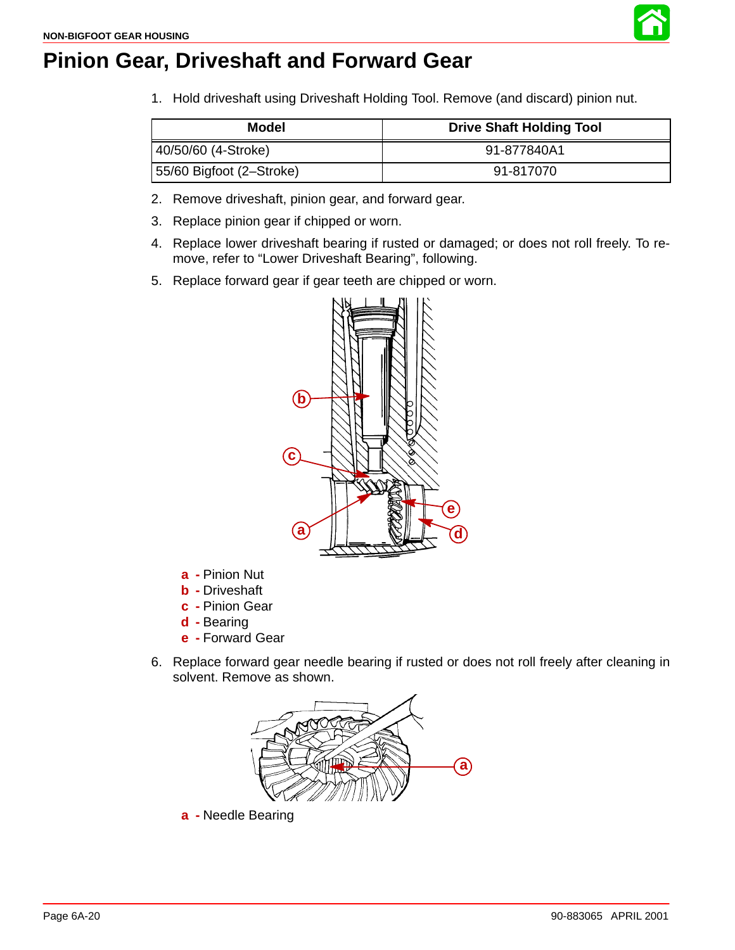

1. Hold driveshaft using Driveshaft Holding Tool. Remove (and discard) pinion nut.

| Model                    | <b>Drive Shaft Holding Tool</b> |
|--------------------------|---------------------------------|
| 40/50/60 (4-Stroke)      | 91-877840A1                     |
| 55/60 Bigfoot (2–Stroke) | 91-817070                       |

- 2. Remove driveshaft, pinion gear, and forward gear.
- 3. Replace pinion gear if chipped or worn.
- 4. Replace lower driveshaft bearing if rusted or damaged; or does not roll freely. To remove, refer to "Lower Driveshaft Bearing", following.
- 5. Replace forward gear if gear teeth are chipped or worn.



- **a -** Pinion Nut
- **b -** Driveshaft
- **c -** Pinion Gear
- **d -** Bearing
- **e -** Forward Gear
- 6. Replace forward gear needle bearing if rusted or does not roll freely after cleaning in solvent. Remove as shown.



**a -** Needle Bearing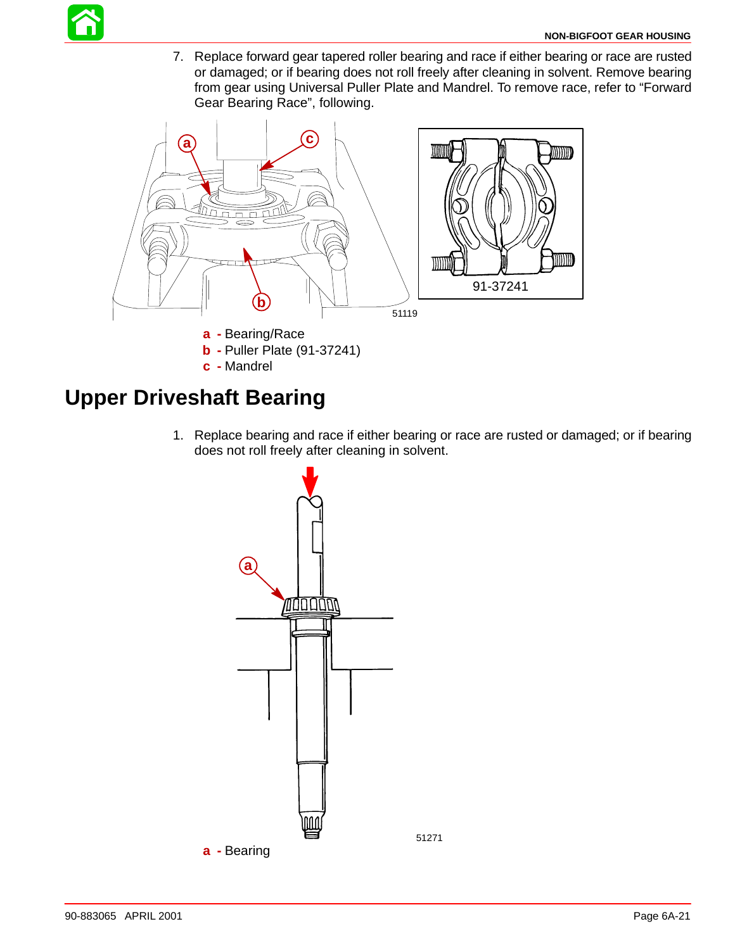

7. Replace forward gear tapered roller bearing and race if either bearing or race are rusted or damaged; or if bearing does not roll freely after cleaning in solvent. Remove bearing from gear using Universal Puller Plate and Mandrel. To remove race, refer to "Forward Gear Bearing Race", following.



## **Upper Driveshaft Bearing**

1. Replace bearing and race if either bearing or race are rusted or damaged; or if bearing does not roll freely after cleaning in solvent.

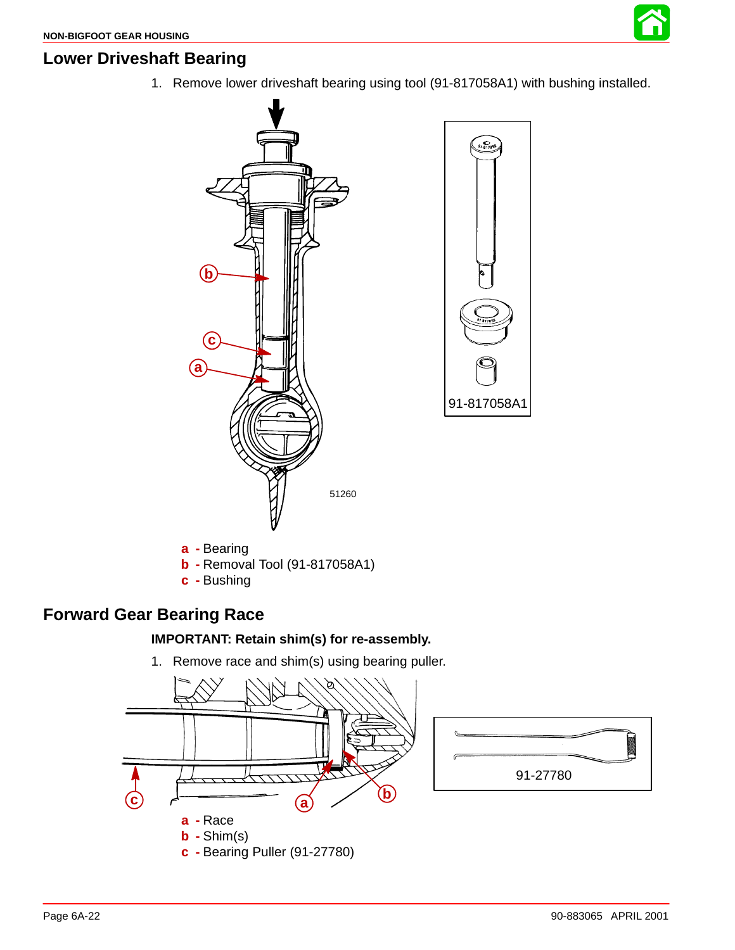## **Lower Driveshaft Bearing**

1. Remove lower driveshaft bearing using tool (91-817058A1) with bushing installed.



**c -** Bushing

### **Forward Gear Bearing Race**

#### **IMPORTANT: Retain shim(s) for re-assembly.**

1. Remove race and shim(s) using bearing puller.

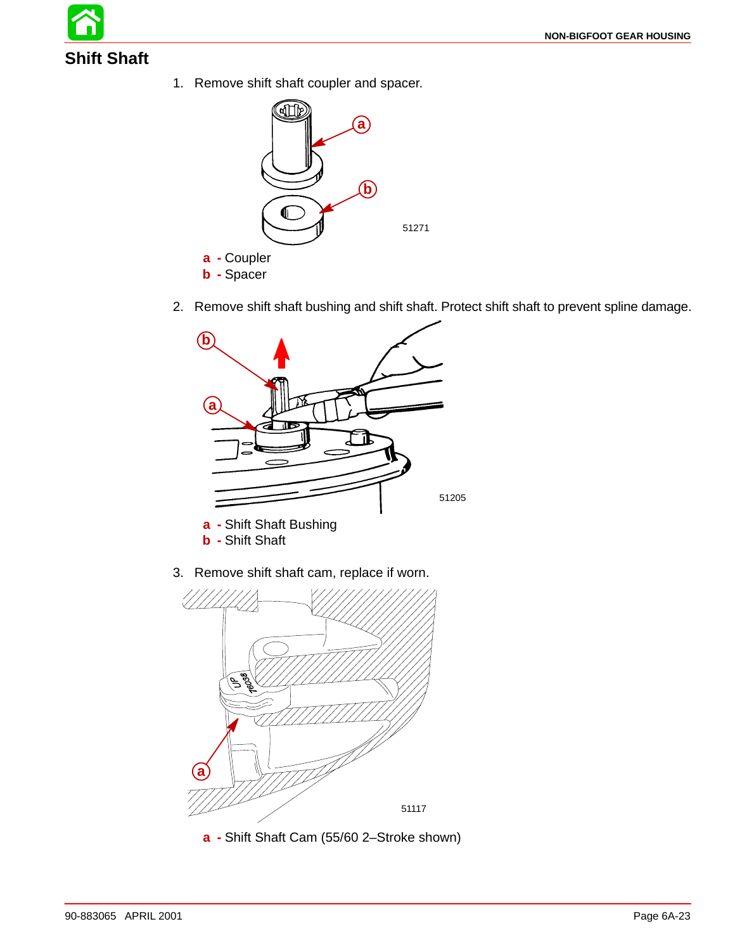

1. Remove shift shaft coupler and spacer.



2. Remove shift shaft bushing and shift shaft. Protect shift shaft to prevent spline damage.



3. Remove shift shaft cam, replace if worn.



**a -** Shift Shaft Cam (55/60 2–Stroke shown)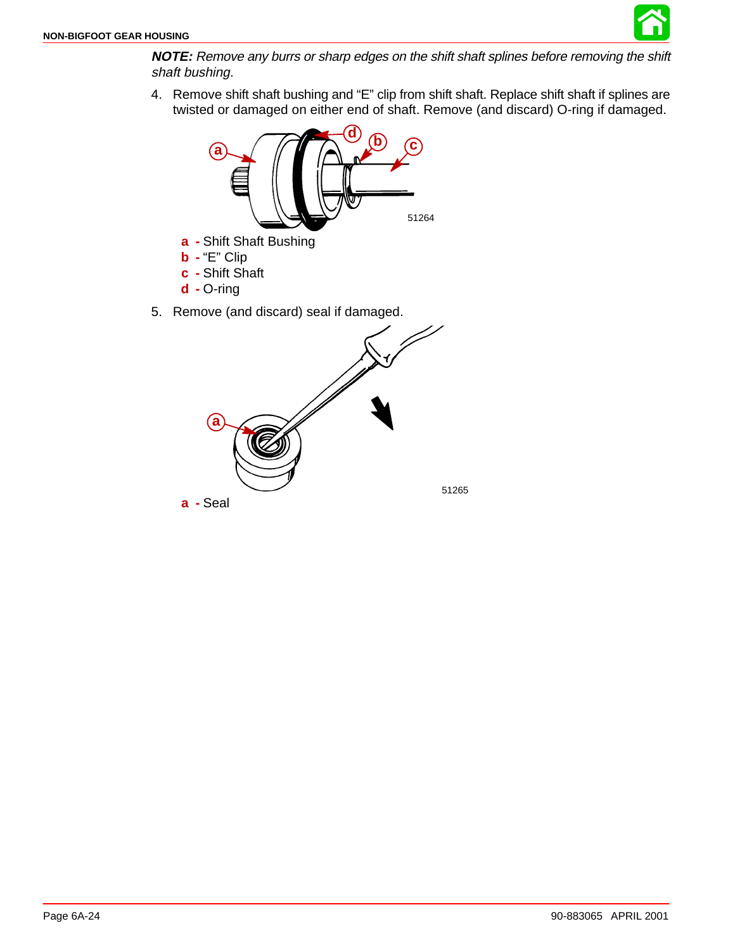**NOTE:** Remove any burrs or sharp edges on the shift shaft splines before removing the shift shaft bushing.

4. Remove shift shaft bushing and "E" clip from shift shaft. Replace shift shaft if splines are twisted or damaged on either end of shaft. Remove (and discard) O-ring if damaged.

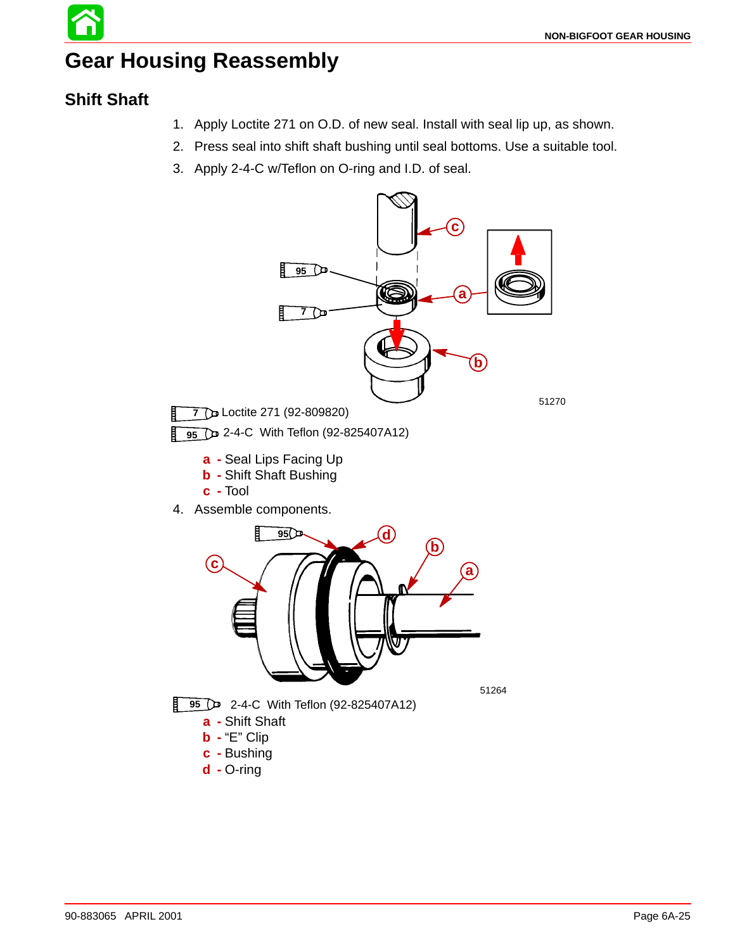# **Gear Housing Reassembly**

### **Shift Shaft**

- 1. Apply Loctite 271 on O.D. of new seal. Install with seal lip up, as shown.
- 2. Press seal into shift shaft bushing until seal bottoms. Use a suitable tool.
- 3. Apply 2-4-C w/Teflon on O-ring and I.D. of seal.

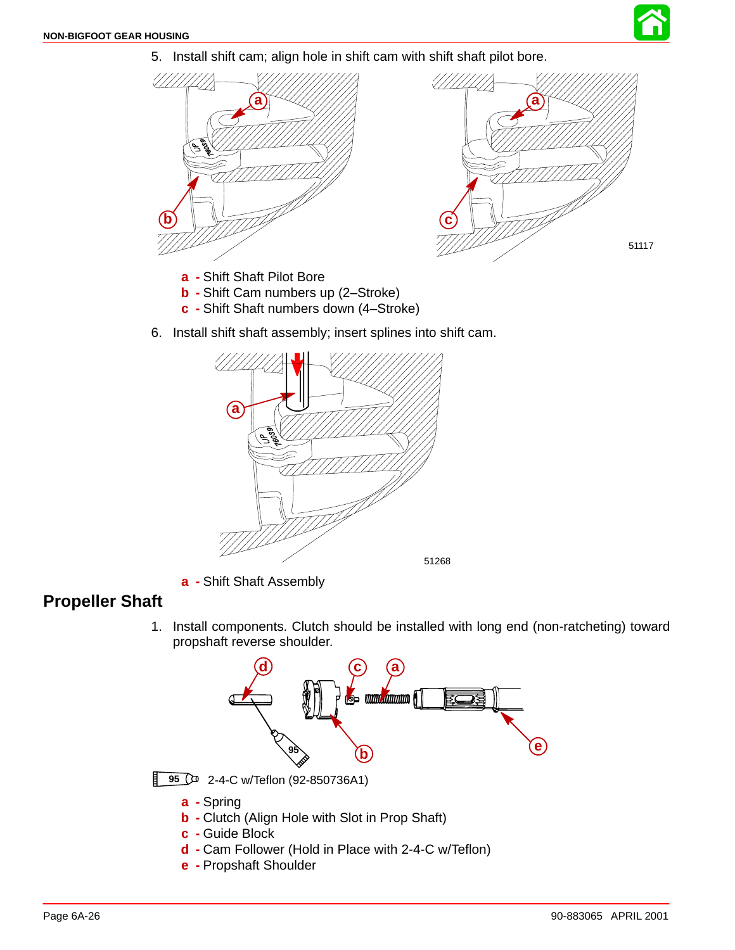

5. Install shift cam; align hole in shift cam with shift shaft pilot bore.



- **a -** Shift Shaft Pilot Bore
- **b -** Shift Cam numbers up (2–Stroke)
- **c -** Shift Shaft numbers down (4–Stroke)
- 6. Install shift shaft assembly; insert splines into shift cam.



**a -** Shift Shaft Assembly

### **Propeller Shaft**

1. Install components. Clutch should be installed with long end (non-ratcheting) toward propshaft reverse shoulder.



- **d -** Cam Follower (Hold in Place with 2-4-C w/Teflon)
- **e -** Propshaft Shoulder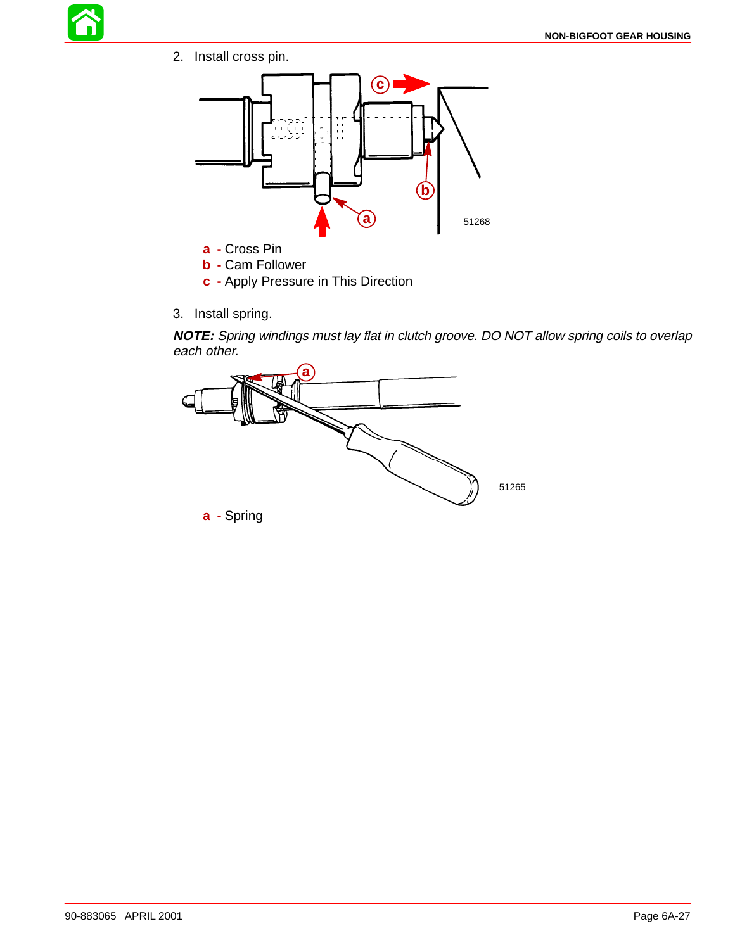

2. Install cross pin.



- **b -** Cam Follower
- **c -** Apply Pressure in This Direction
- 3. Install spring.

**NOTE:** Spring windings must lay flat in clutch groove. DO NOT allow spring coils to overlap each other.



90-883065 APRIL 2001 2001 2001 2008 2012 2013 2022 203 204 205 206 207 208 209 200 2012 2023 203 204 205 206 20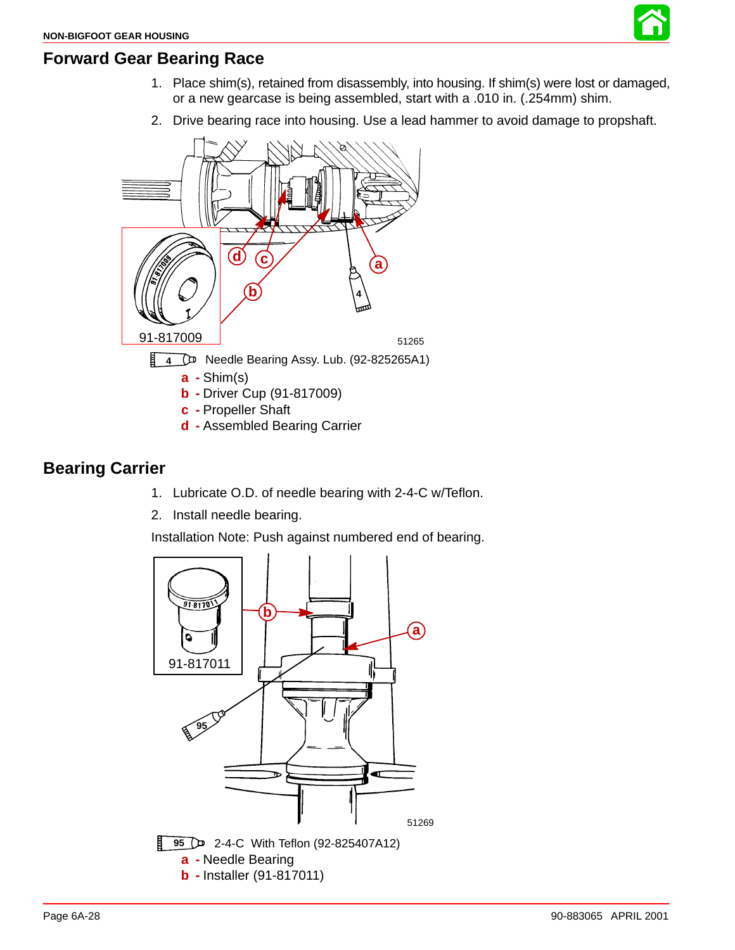

#### **Forward Gear Bearing Race**

- 1. Place shim(s), retained from disassembly, into housing. If shim(s) were lost or damaged, or a new gearcase is being assembled, start with a .010 in. (.254mm) shim.
- 2. Drive bearing race into housing. Use a lead hammer to avoid damage to propshaft.



### **Bearing Carrier**

- 1. Lubricate O.D. of needle bearing with 2-4-C w/Teflon.
- 2. Install needle bearing.

Installation Note: Push against numbered end of bearing.

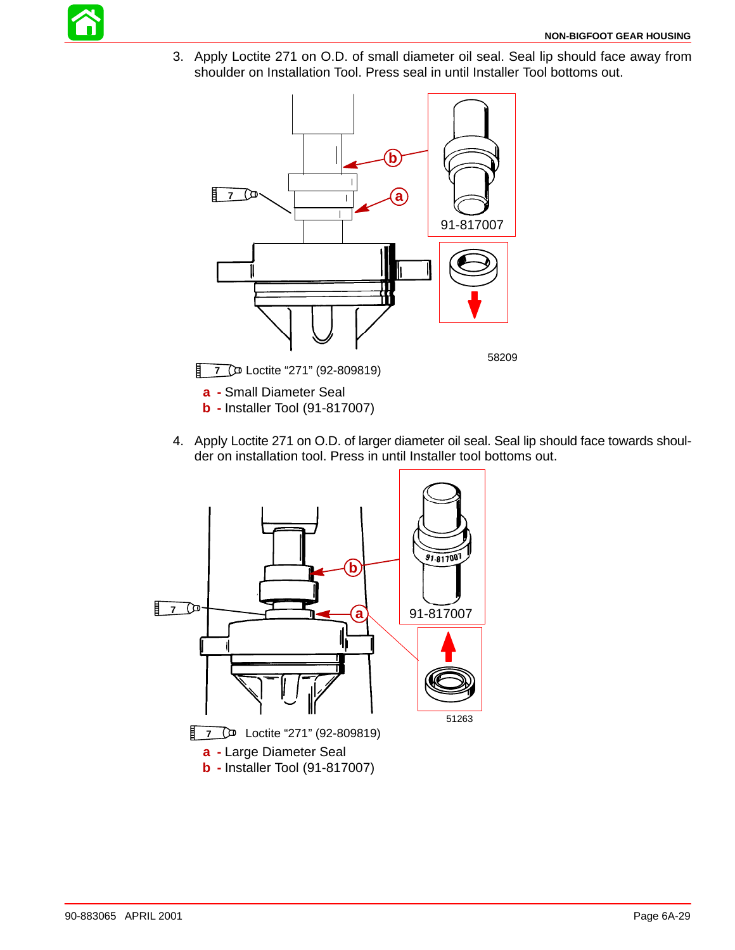

3. Apply Loctite 271 on O.D. of small diameter oil seal. Seal lip should face away from shoulder on Installation Tool. Press seal in until Installer Tool bottoms out.



- **a -** Small Diameter Seal
- **b -** Installer Tool (91-817007)
- 4. Apply Loctite 271 on O.D. of larger diameter oil seal. Seal lip should face towards shoulder on installation tool. Press in until Installer tool bottoms out.

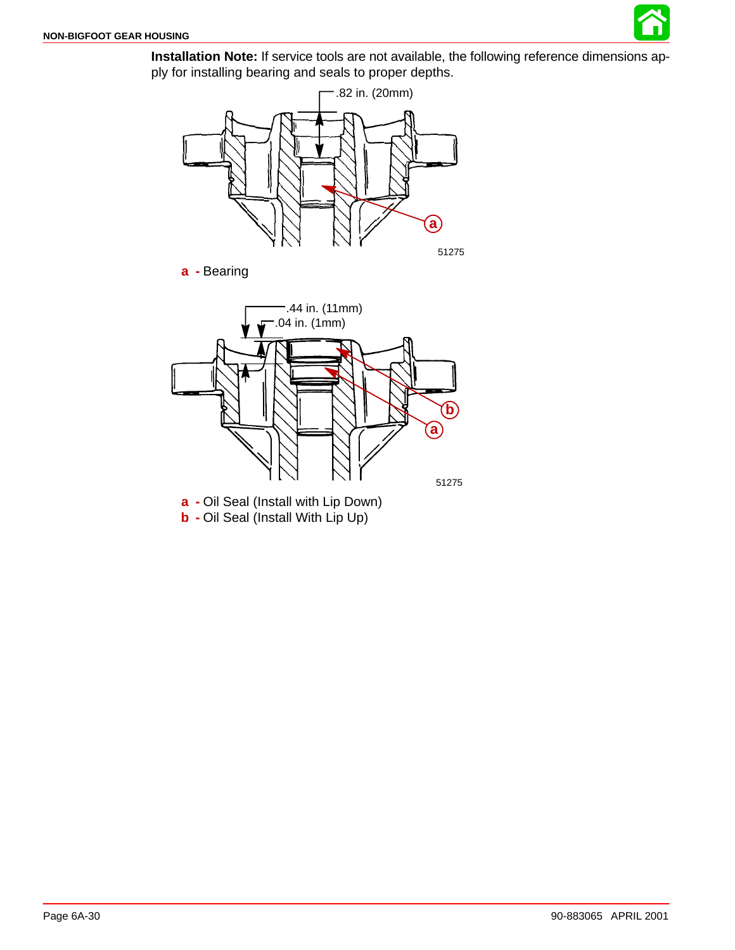

**Installation Note:** If service tools are not available, the following reference dimensions apply for installing bearing and seals to proper depths.



**a -** Bearing



**b -** Oil Seal (Install With Lip Up)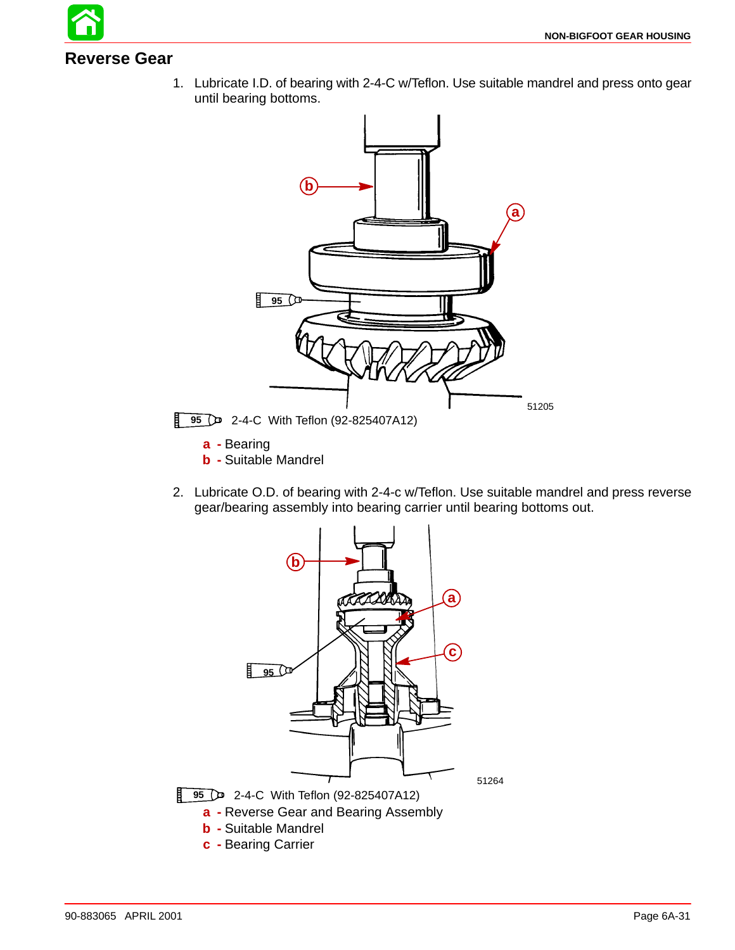

Ħ

1. Lubricate I.D. of bearing with 2-4-C w/Teflon. Use suitable mandrel and press onto gear until bearing bottoms.



2. Lubricate O.D. of bearing with 2-4-c w/Teflon. Use suitable mandrel and press reverse gear/bearing assembly into bearing carrier until bearing bottoms out.

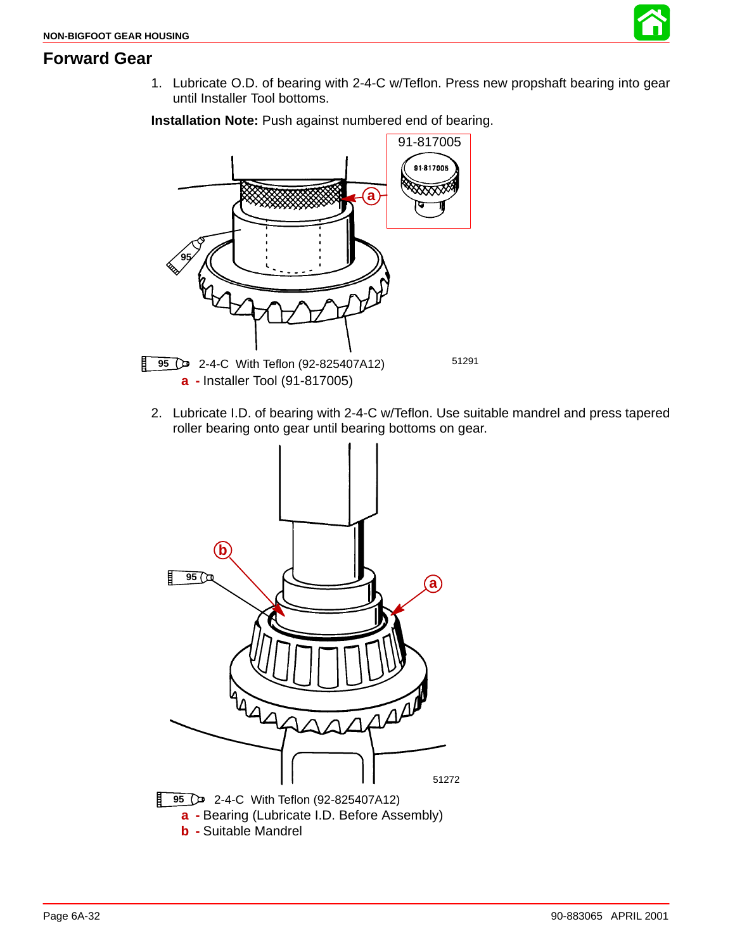

1. Lubricate O.D. of bearing with 2-4-C w/Teflon. Press new propshaft bearing into gear until Installer Tool bottoms.

**Installation Note:** Push against numbered end of bearing.



2. Lubricate I.D. of bearing with 2-4-C w/Teflon. Use suitable mandrel and press tapered roller bearing onto gear until bearing bottoms on gear.

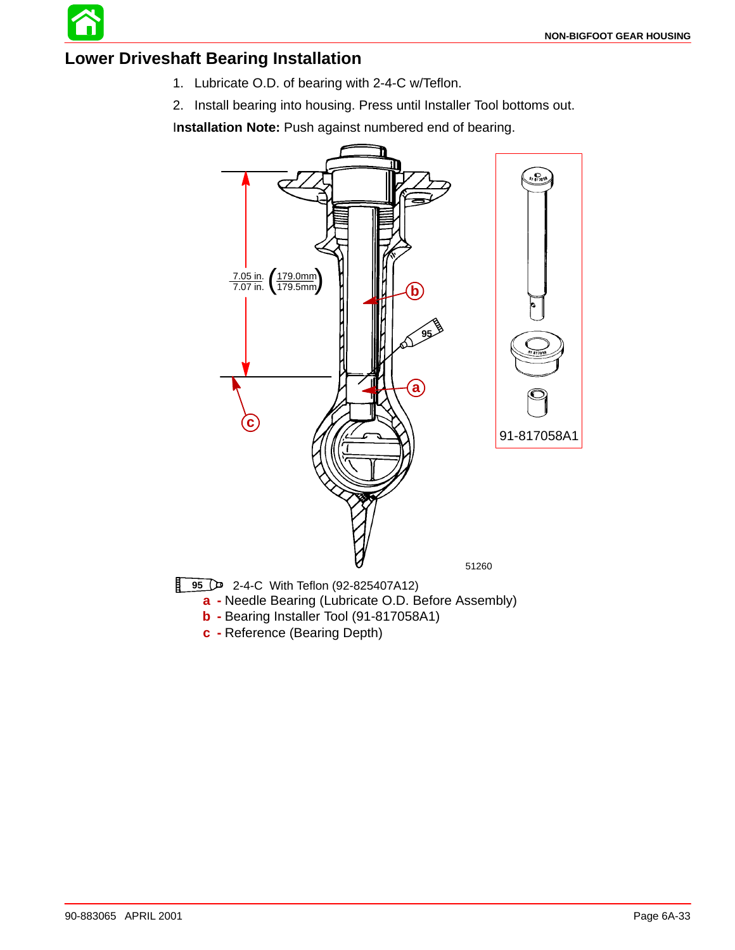

### **Lower Driveshaft Bearing Installation**

- 1. Lubricate O.D. of bearing with 2-4-C w/Teflon.
- 2. Install bearing into housing. Press until Installer Tool bottoms out.

I**nstallation Note:** Push against numbered end of bearing.

![](_page_32_Figure_6.jpeg)

- **b -** Bearing Installer Tool (91-817058A1)
- **c -** Reference (Bearing Depth)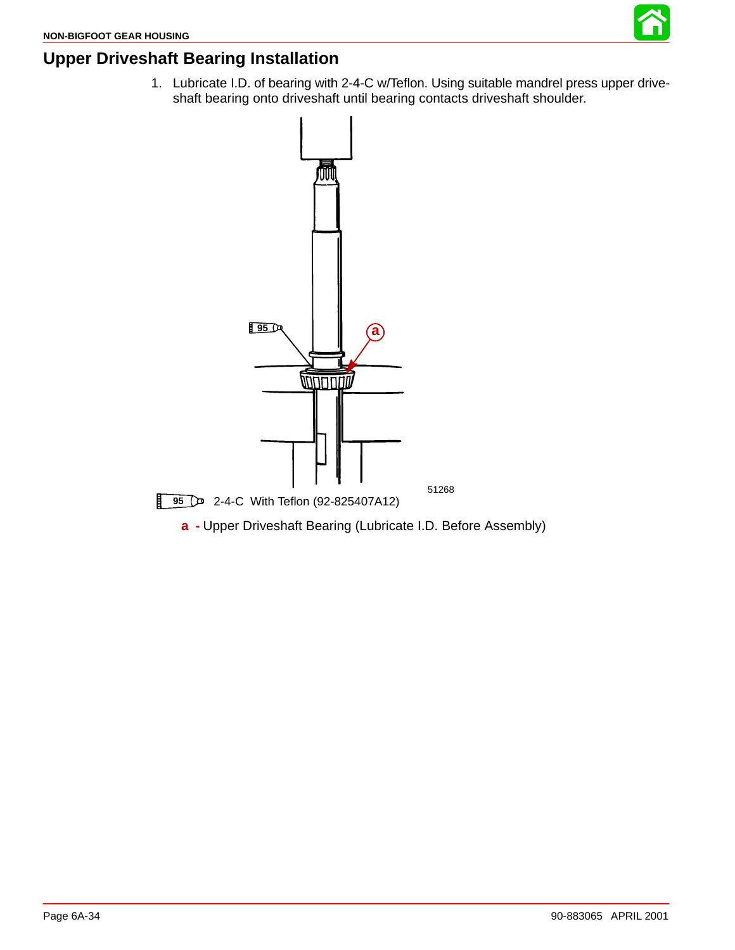![](_page_33_Picture_1.jpeg)

## **Upper Driveshaft Bearing Installation**

1. Lubricate I.D. of bearing with 2-4-C w/Teflon. Using suitable mandrel press upper driveshaft bearing onto driveshaft until bearing contacts driveshaft shoulder.

![](_page_33_Figure_4.jpeg)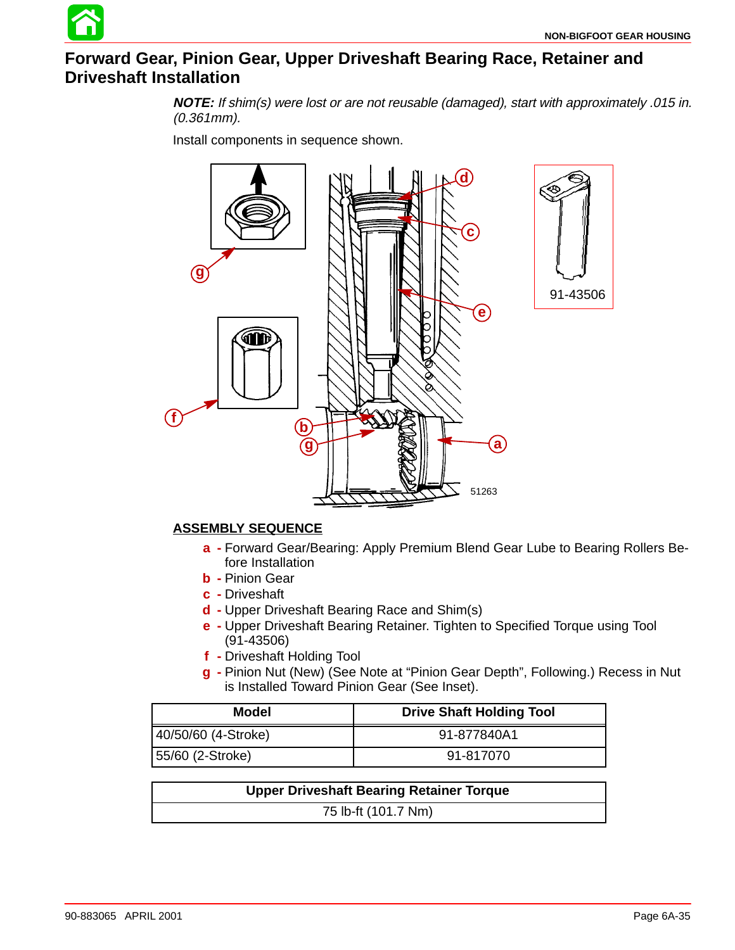### **Forward Gear, Pinion Gear, Upper Driveshaft Bearing Race, Retainer and Driveshaft Installation**

**NOTE:** If shim(s) were lost or are not reusable (damaged), start with approximately .015 in. (0.361mm).

Install components in sequence shown.

![](_page_34_Figure_4.jpeg)

#### **ASSEMBLY SEQUENCE**

- **a -** Forward Gear/Bearing: Apply Premium Blend Gear Lube to Bearing Rollers Before Installation
- **b -** Pinion Gear
- **c -** Driveshaft
- **d -** Upper Driveshaft Bearing Race and Shim(s)
- **e -** Upper Driveshaft Bearing Retainer. Tighten to Specified Torque using Tool (91-43506)
- **f -** Driveshaft Holding Tool
- **g -** Pinion Nut (New) (See Note at "Pinion Gear Depth", Following.) Recess in Nut is Installed Toward Pinion Gear (See Inset).

| <b>Model</b>        | <b>Drive Shaft Holding Tool</b> |
|---------------------|---------------------------------|
| 40/50/60 (4-Stroke) | 91-877840A1                     |
| 55/60 (2-Stroke)    | 91-817070                       |

| <b>Upper Driveshaft Bearing Retainer Torque</b> |  |
|-------------------------------------------------|--|
| 75 lb-ft (101.7 Nm)                             |  |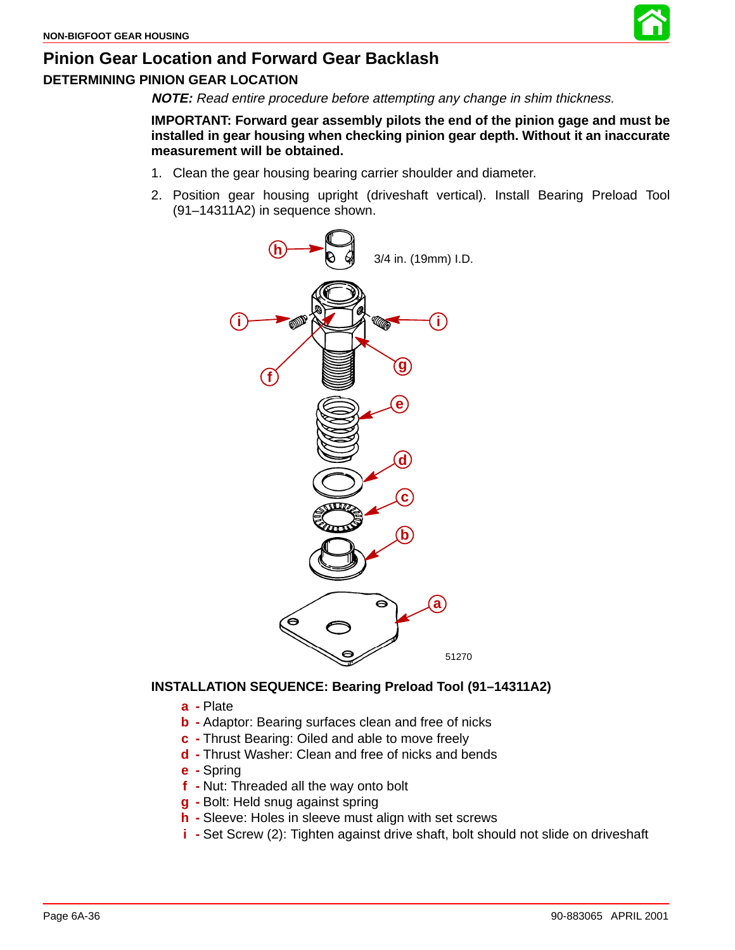![](_page_35_Picture_1.jpeg)

#### **DETERMINING PINION GEAR LOCATION**

**NOTE:** Read entire procedure before attempting any change in shim thickness.

**IMPORTANT: Forward gear assembly pilots the end of the pinion gage and must be installed in gear housing when checking pinion gear depth. Without it an inaccurate measurement will be obtained.**

- 1. Clean the gear housing bearing carrier shoulder and diameter.
- 2. Position gear housing upright (driveshaft vertical). Install Bearing Preload Tool (91–14311A2) in sequence shown.

![](_page_35_Figure_7.jpeg)

#### **INSTALLATION SEQUENCE: Bearing Preload Tool (91–14311A2)**

- **a -** Plate
- **b -** Adaptor: Bearing surfaces clean and free of nicks
- **c -** Thrust Bearing: Oiled and able to move freely
- **d -** Thrust Washer: Clean and free of nicks and bends
- **e -** Spring
- **f -** Nut: Threaded all the way onto bolt
- **g -** Bolt: Held snug against spring
- **h -** Sleeve: Holes in sleeve must align with set screws
- **i -** Set Screw (2): Tighten against drive shaft, bolt should not slide on driveshaft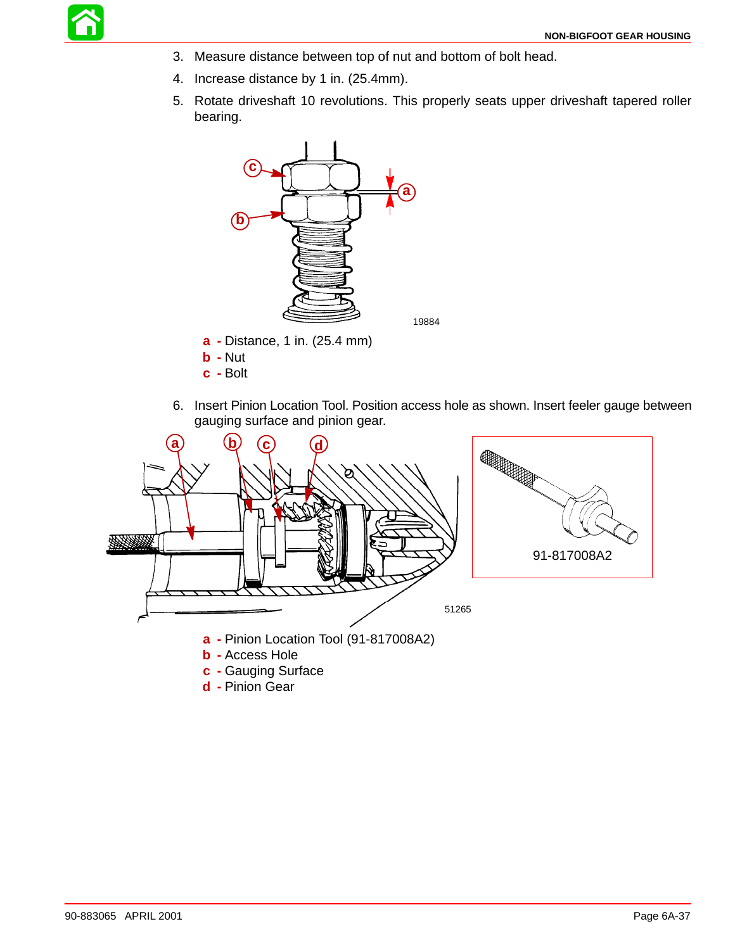![](_page_36_Picture_0.jpeg)

- 3. Measure distance between top of nut and bottom of bolt head.
- 4. Increase distance by 1 in. (25.4mm).
- 5. Rotate driveshaft 10 revolutions. This properly seats upper driveshaft tapered roller bearing.

![](_page_36_Figure_5.jpeg)

- **a -** Distance, 1 in. (25.4 mm)
- **b -** Nut
- **c -** Bolt
- 6. Insert Pinion Location Tool. Position access hole as shown. Insert feeler gauge between gauging surface and pinion gear.

![](_page_36_Figure_10.jpeg)

**d -** Pinion Gear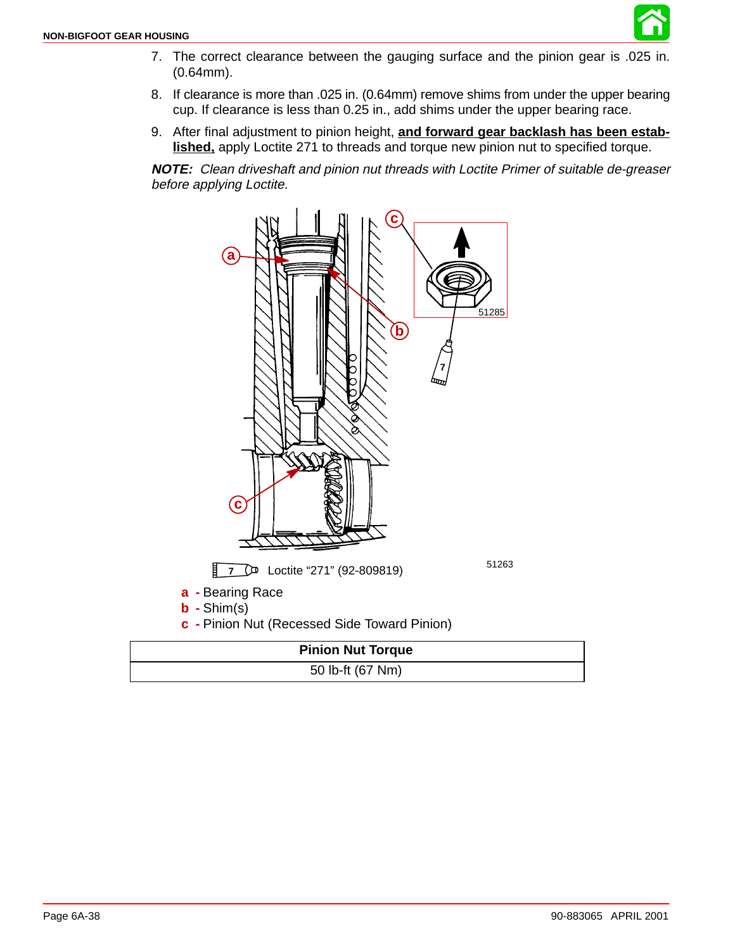![](_page_37_Picture_1.jpeg)

- 7. The correct clearance between the gauging surface and the pinion gear is .025 in. (0.64mm).
- 8. If clearance is more than .025 in. (0.64mm) remove shims from under the upper bearing cup. If clearance is less than 0.25 in., add shims under the upper bearing race.
- 9. After final adjustment to pinion height, **and forward gear backlash has been established,** apply Loctite 271 to threads and torque new pinion nut to specified torque.

**NOTE:** Clean driveshaft and pinion nut threads with Loctite Primer of suitable de-greaser before applying Loctite.

![](_page_37_Figure_6.jpeg)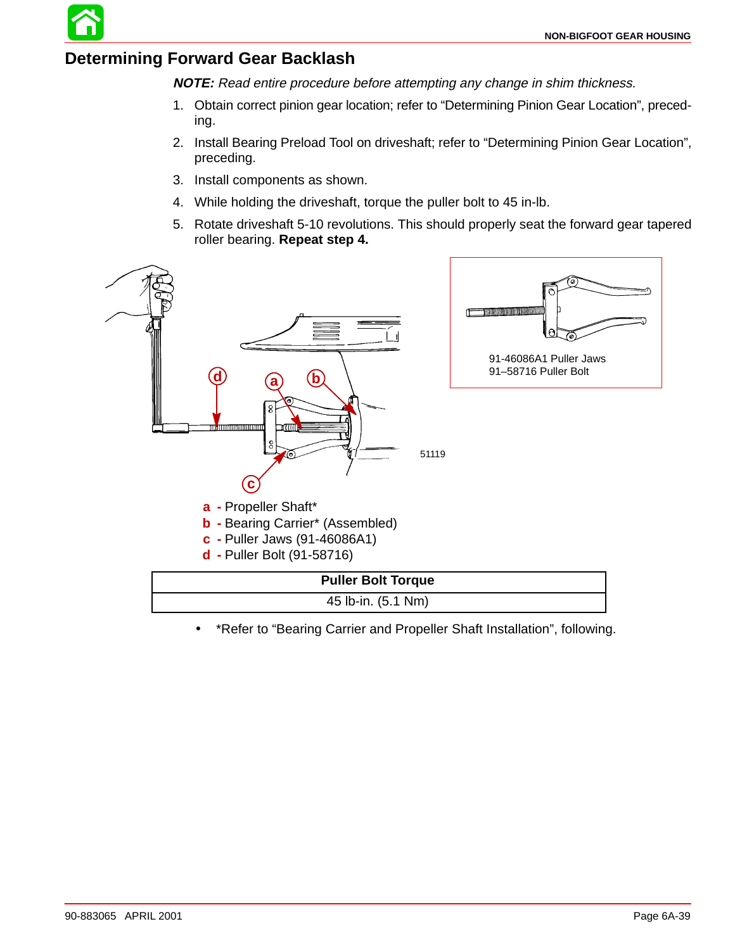## **Determining Forward Gear Backlash**

**NOTE:** Read entire procedure before attempting any change in shim thickness.

- 1. Obtain correct pinion gear location; refer to "Determining Pinion Gear Location", preceding.
- 2. Install Bearing Preload Tool on driveshaft; refer to "Determining Pinion Gear Location", preceding.
- 3. Install components as shown.
- 4. While holding the driveshaft, torque the puller bolt to 45 in-lb.
- 5. Rotate driveshaft 5-10 revolutions. This should properly seat the forward gear tapered roller bearing. **Repeat step 4.**

![](_page_38_Figure_8.jpeg)

• \*Refer to "Bearing Carrier and Propeller Shaft Installation", following.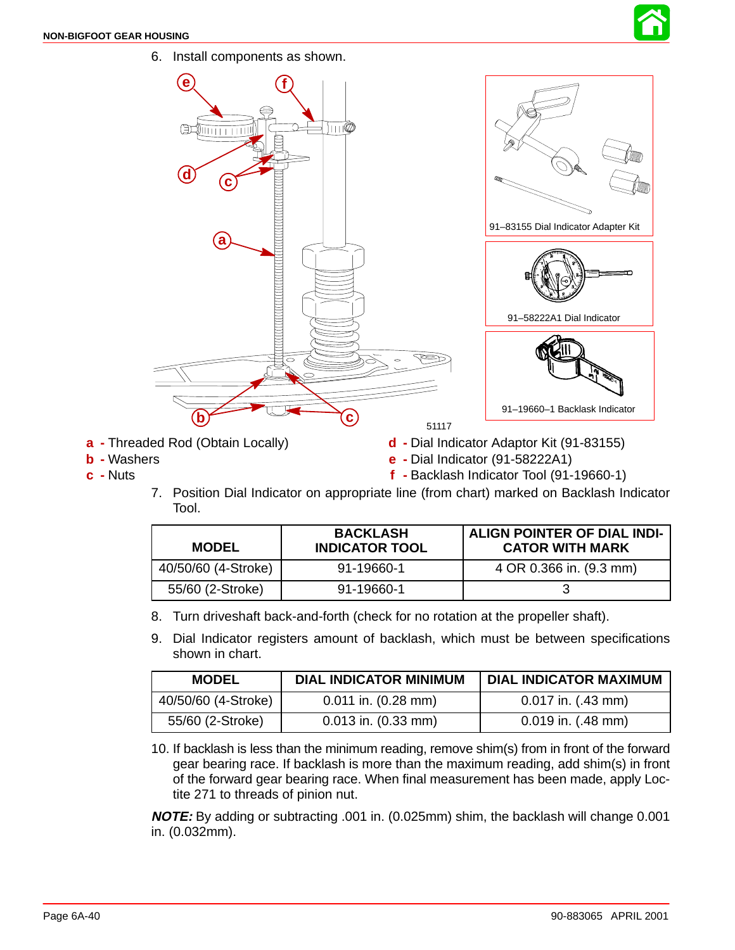![](_page_39_Picture_1.jpeg)

![](_page_39_Figure_2.jpeg)

- **a -** Threaded Rod (Obtain Locally)
- **b -** Washers **c -** Nuts
- **d -** Dial Indicator Adaptor Kit (91-83155)
- **e -** Dial Indicator (91-58222A1)
	- **f -** Backlash Indicator Tool (91-19660-1)
- 7. Position Dial Indicator on appropriate line (from chart) marked on Backlash Indicator Tool.

| <b>MODEL</b>        | <b>BACKLASH</b><br><b>INDICATOR TOOL</b> | ALIGN POINTER OF DIAL INDI-<br><b>CATOR WITH MARK</b> |
|---------------------|------------------------------------------|-------------------------------------------------------|
| 40/50/60 (4-Stroke) | 91-19660-1                               | 4 OR 0.366 in. (9.3 mm)                               |
| 55/60 (2-Stroke)    | 91-19660-1                               |                                                       |

- 8. Turn driveshaft back-and-forth (check for no rotation at the propeller shaft).
- 9. Dial Indicator registers amount of backlash, which must be between specifications shown in chart.

| <b>MODEL</b>        | <b>DIAL INDICATOR MINIMUM</b> | <b>DIAL INDICATOR MAXIMUM</b> |
|---------------------|-------------------------------|-------------------------------|
| 40/50/60 (4-Stroke) | $0.011$ in. $(0.28$ mm)       | $0.017$ in. $(.43$ mm)        |
| 55/60 (2-Stroke)    | $0.013$ in. $(0.33$ mm)       | $0.019$ in. $(.48$ mm)        |

10. If backlash is less than the minimum reading, remove shim(s) from in front of the forward gear bearing race. If backlash is more than the maximum reading, add shim(s) in front of the forward gear bearing race. When final measurement has been made, apply Loctite 271 to threads of pinion nut.

**NOTE:** By adding or subtracting .001 in. (0.025mm) shim, the backlash will change 0.001 in. (0.032mm).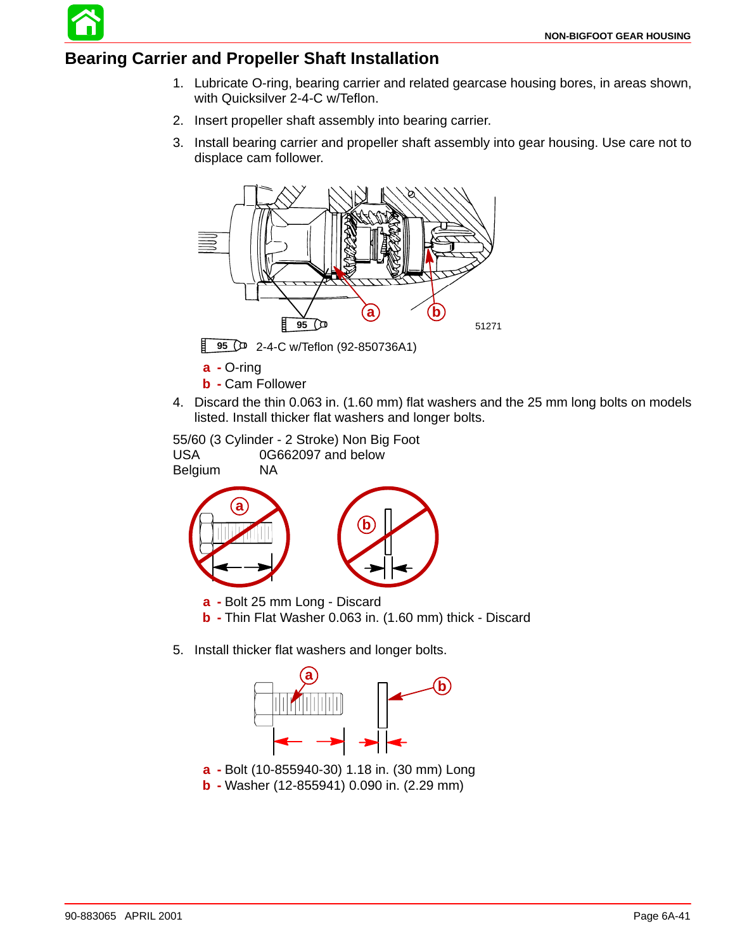## **Bearing Carrier and Propeller Shaft Installation**

- 1. Lubricate O-ring, bearing carrier and related gearcase housing bores, in areas shown, with Quicksilver 2-4-C w/Teflon.
- 2. Insert propeller shaft assembly into bearing carrier.
- 3. Install bearing carrier and propeller shaft assembly into gear housing. Use care not to displace cam follower.

![](_page_40_Figure_5.jpeg)

**95** 2-4-C w/Teflon (92-850736A1)

- **a -** O-ring
- **b -** Cam Follower
- 4. Discard the thin 0.063 in. (1.60 mm) flat washers and the 25 mm long bolts on models listed. Install thicker flat washers and longer bolts.

55/60 (3 Cylinder - 2 Stroke) Non Big Foot USA 0G662097 and below Belgium NA

![](_page_40_Figure_11.jpeg)

- **b -** Thin Flat Washer 0.063 in. (1.60 mm) thick Discard
- 5. Install thicker flat washers and longer bolts.

![](_page_40_Figure_14.jpeg)

- **a -** Bolt (10-855940-30) 1.18 in. (30 mm) Long
- **b -** Washer (12-855941) 0.090 in. (2.29 mm)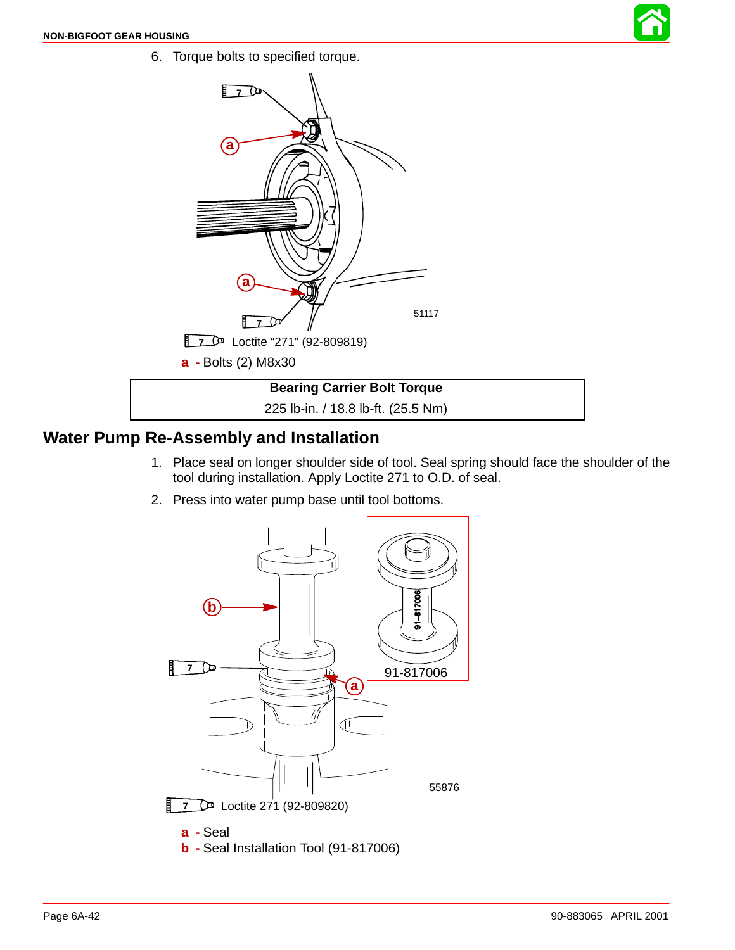6. Torque bolts to specified torque.

![](_page_41_Picture_2.jpeg)

![](_page_41_Figure_3.jpeg)

#### **Water Pump Re-Assembly and Installation**

- 1. Place seal on longer shoulder side of tool. Seal spring should face the shoulder of the tool during installation. Apply Loctite 271 to O.D. of seal.
- 2. Press into water pump base until tool bottoms.

![](_page_41_Figure_7.jpeg)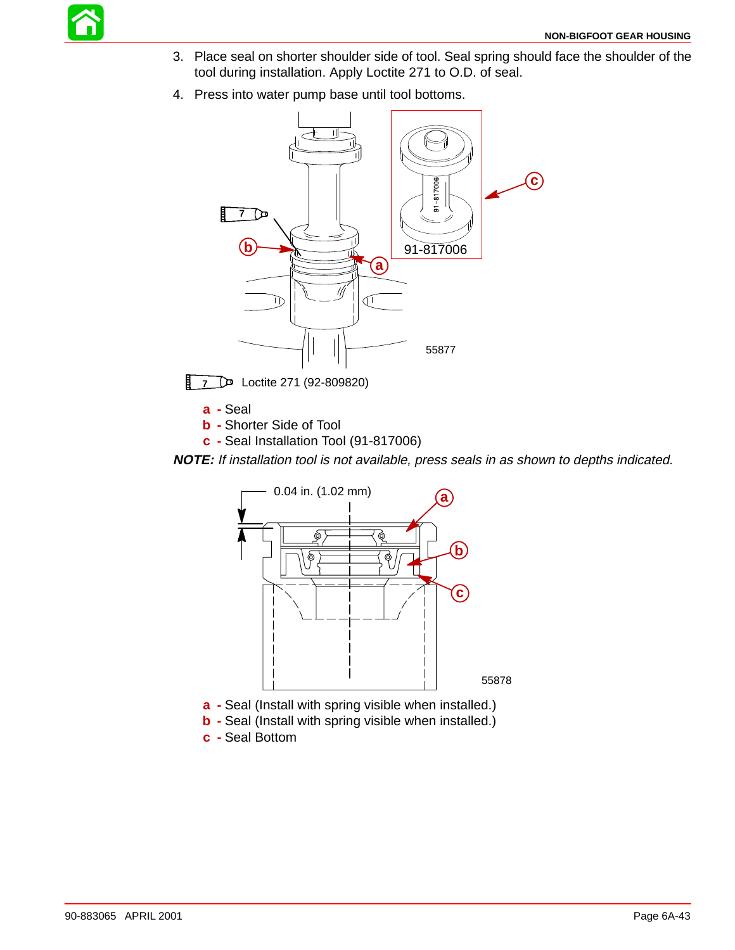![](_page_42_Picture_0.jpeg)

- 3. Place seal on shorter shoulder side of tool. Seal spring should face the shoulder of the tool during installation. Apply Loctite 271 to O.D. of seal.
- 4. Press into water pump base until tool bottoms.

![](_page_42_Figure_4.jpeg)

**7** Loctite 271 (92-809820)

**a -** Seal

- **b -** Shorter Side of Tool
- **c -** Seal Installation Tool (91-817006)

**NOTE:** If installation tool is not available, press seals in as shown to depths indicated.

![](_page_42_Figure_10.jpeg)

- **b** Seal (Install with spring visible when installed.)
- **c -** Seal Bottom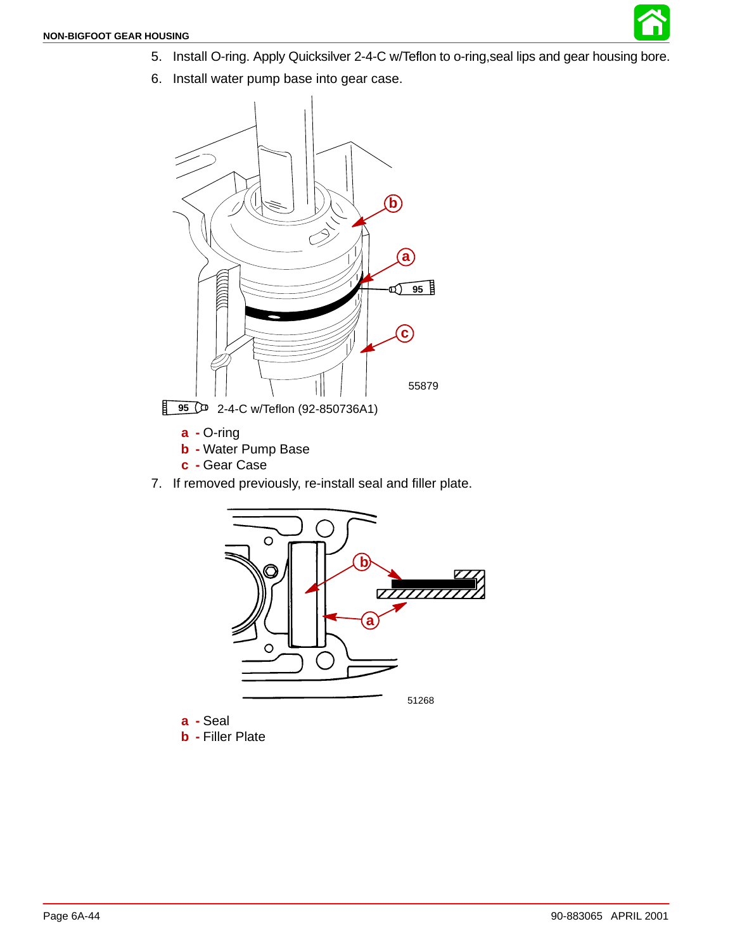![](_page_43_Picture_1.jpeg)

6. Install water pump base into gear case.

![](_page_43_Figure_3.jpeg)

- **a -** O-ring
- **b -** Water Pump Base
- **c -** Gear Case
- 7. If removed previously, re-install seal and filler plate.

![](_page_43_Figure_8.jpeg)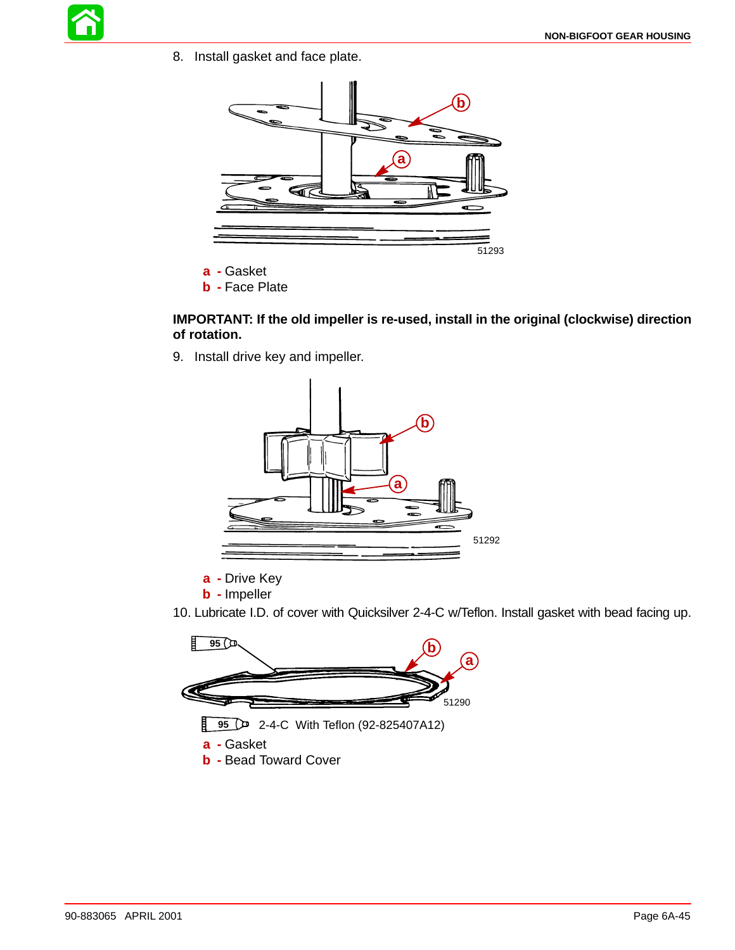![](_page_44_Picture_1.jpeg)

8. Install gasket and face plate.

![](_page_44_Figure_3.jpeg)

- **a -** Gasket
- **b -** Face Plate

#### **IMPORTANT: If the old impeller is re-used, install in the original (clockwise) direction of rotation.**

9. Install drive key and impeller.

![](_page_44_Figure_8.jpeg)

- **a -** Drive Key
- **b -** Impeller
- 10. Lubricate I.D. of cover with Quicksilver 2-4-C w/Teflon. Install gasket with bead facing up.

![](_page_44_Figure_12.jpeg)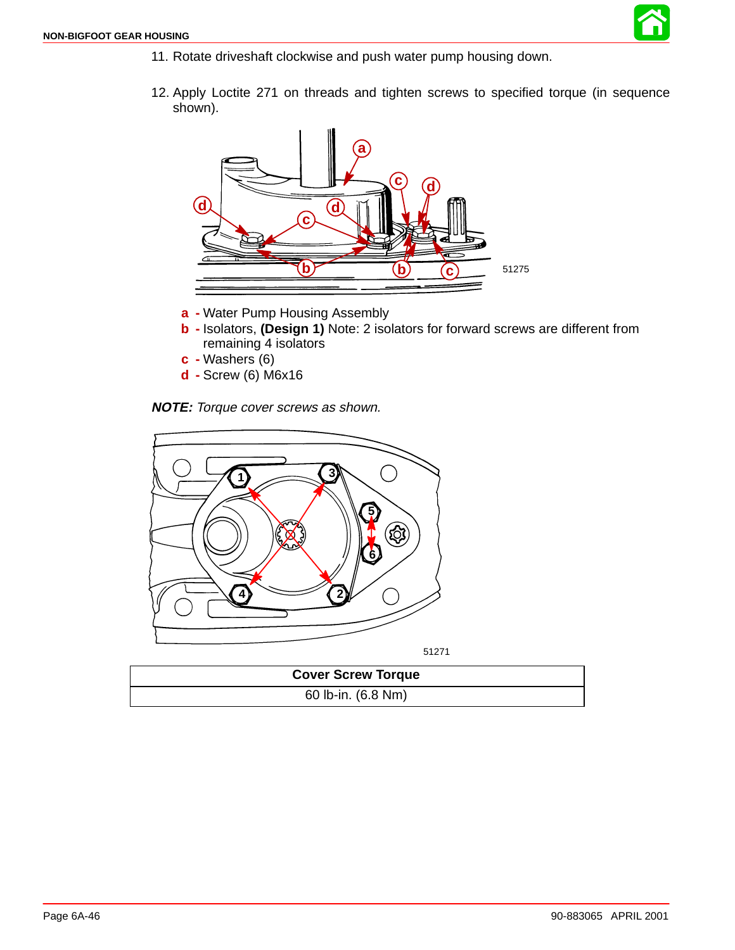![](_page_45_Picture_1.jpeg)

- 11. Rotate driveshaft clockwise and push water pump housing down.
- 12. Apply Loctite 271 on threads and tighten screws to specified torque (in sequence shown).

![](_page_45_Figure_4.jpeg)

- **a -** Water Pump Housing Assembly
- **b -** Isolators, **(Design 1)** Note: 2 isolators for forward screws are different from remaining 4 isolators
- **c -** Washers (6)
- **d -** Screw (6) M6x16

**NOTE:** Torque cover screws as shown.

![](_page_45_Picture_10.jpeg)

51271

| <b>Cover Screw Torque</b> |  |
|---------------------------|--|
| 60 lb-in. (6.8 Nm)        |  |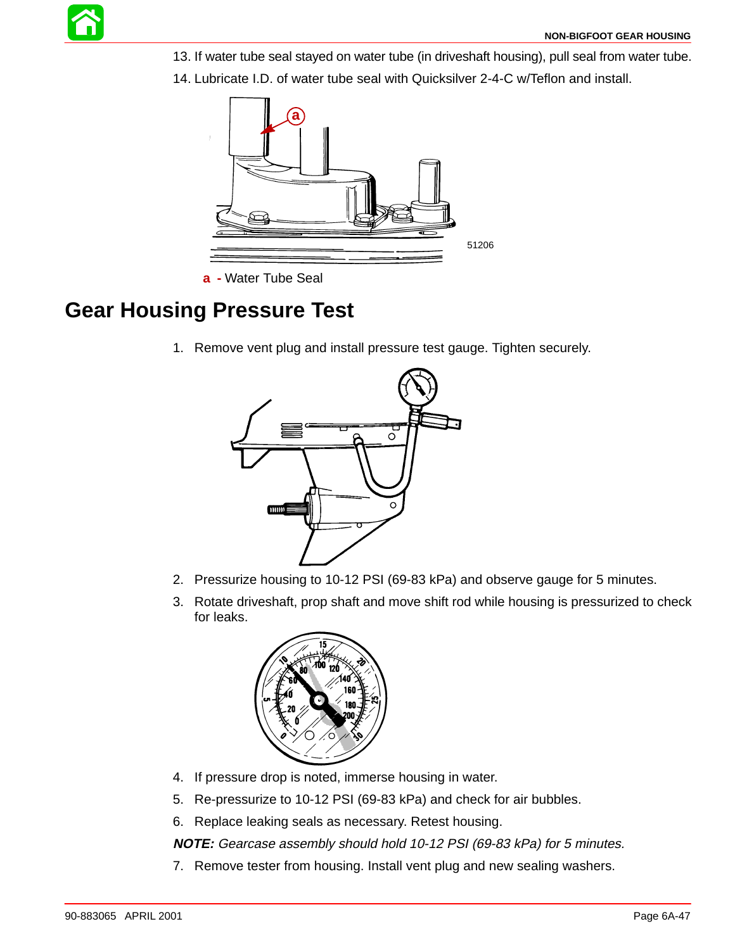13. If water tube seal stayed on water tube (in driveshaft housing), pull seal from water tube.

![](_page_46_Figure_2.jpeg)

14. Lubricate I.D. of water tube seal with Quicksilver 2-4-C w/Teflon and install.

## **Gear Housing Pressure Test**

1. Remove vent plug and install pressure test gauge. Tighten securely.

![](_page_46_Figure_6.jpeg)

- 2. Pressurize housing to 10-12 PSI (69-83 kPa) and observe gauge for 5 minutes.
- 3. Rotate driveshaft, prop shaft and move shift rod while housing is pressurized to check for leaks.

![](_page_46_Picture_9.jpeg)

- 4. If pressure drop is noted, immerse housing in water.
- 5. Re-pressurize to 10-12 PSI (69-83 kPa) and check for air bubbles.
- 6. Replace leaking seals as necessary. Retest housing.

**NOTE:** Gearcase assembly should hold 10-12 PSI (69-83 kPa) for 5 minutes.

7. Remove tester from housing. Install vent plug and new sealing washers.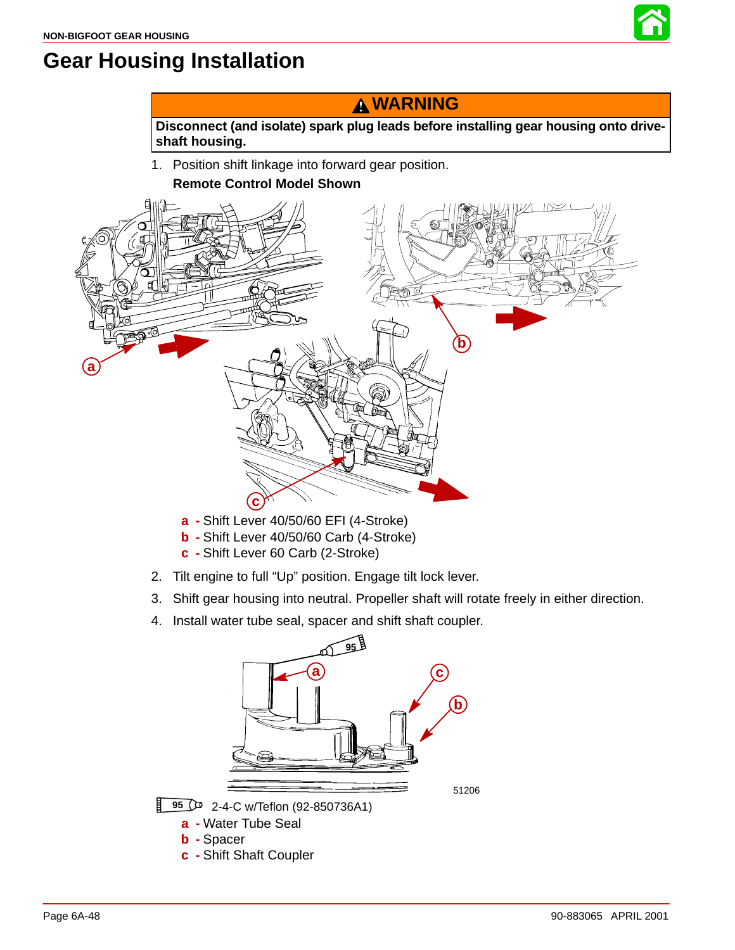![](_page_47_Picture_1.jpeg)

# **Gear Housing Installation**

## **WARNING**

**Disconnect (and isolate) spark plug leads before installing gear housing onto driveshaft housing.**

1. Position shift linkage into forward gear position. **Remote Control Model Shown**

![](_page_47_Figure_6.jpeg)

- **a -** Shift Lever 40/50/60 EFI (4-Stroke)
- **b -** Shift Lever 40/50/60 Carb (4-Stroke)
- **c -** Shift Lever 60 Carb (2-Stroke)
- 2. Tilt engine to full "Up" position. Engage tilt lock lever.
- 3. Shift gear housing into neutral. Propeller shaft will rotate freely in either direction.
- 4. Install water tube seal, spacer and shift shaft coupler.

![](_page_47_Figure_13.jpeg)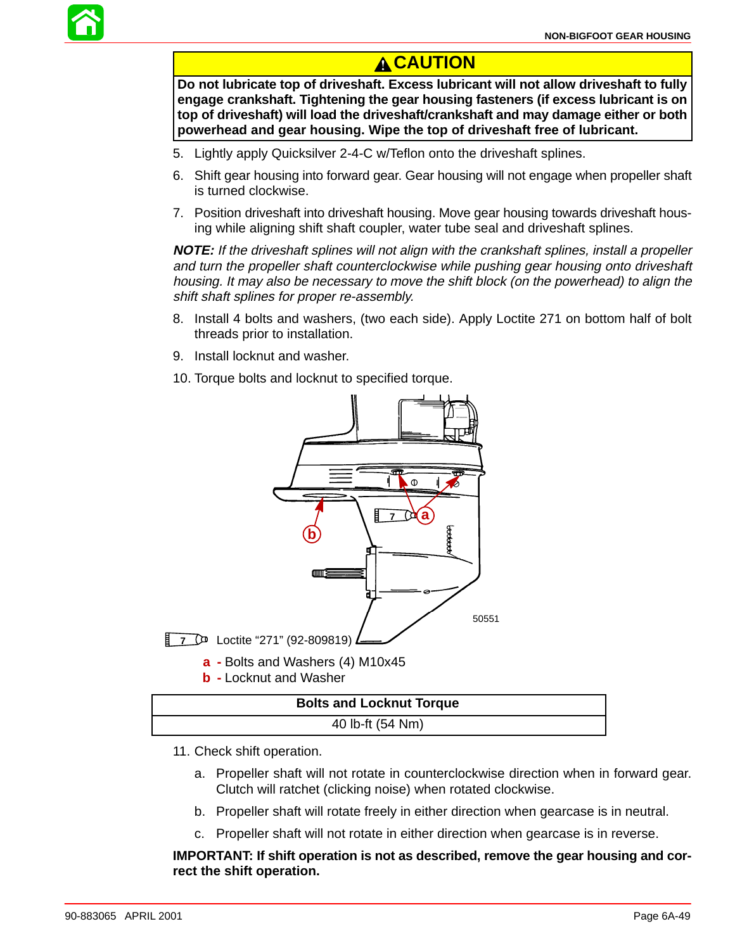![](_page_48_Picture_1.jpeg)

## **A**CAUTION

**Do not lubricate top of driveshaft. Excess lubricant will not allow driveshaft to fully engage crankshaft. Tightening the gear housing fasteners (if excess lubricant is on top of driveshaft) will load the driveshaft/crankshaft and may damage either or both powerhead and gear housing. Wipe the top of driveshaft free of lubricant.**

- 5. Lightly apply Quicksilver 2-4-C w/Teflon onto the driveshaft splines.
- 6. Shift gear housing into forward gear. Gear housing will not engage when propeller shaft is turned clockwise.
- 7. Position driveshaft into driveshaft housing. Move gear housing towards driveshaft housing while aligning shift shaft coupler, water tube seal and driveshaft splines.

**NOTE:** If the driveshaft splines will not align with the crankshaft splines, install a propeller and turn the propeller shaft counterclockwise while pushing gear housing onto driveshaft housing. It may also be necessary to move the shift block (on the powerhead) to align the shift shaft splines for proper re-assembly.

- 8. Install 4 bolts and washers, (two each side). Apply Loctite 271 on bottom half of bolt threads prior to installation.
- 9. Install locknut and washer.
- 10. Torque bolts and locknut to specified torque.

![](_page_48_Figure_11.jpeg)

| <b>Bolts and Locknut Torque</b> |  |
|---------------------------------|--|
| 40 lb-ft (54 Nm)                |  |
|                                 |  |

- 11. Check shift operation.
	- a. Propeller shaft will not rotate in counterclockwise direction when in forward gear. Clutch will ratchet (clicking noise) when rotated clockwise.
	- b. Propeller shaft will rotate freely in either direction when gearcase is in neutral.
	- c. Propeller shaft will not rotate in either direction when gearcase is in reverse.

#### **IMPORTANT: If shift operation is not as described, remove the gear housing and correct the shift operation.**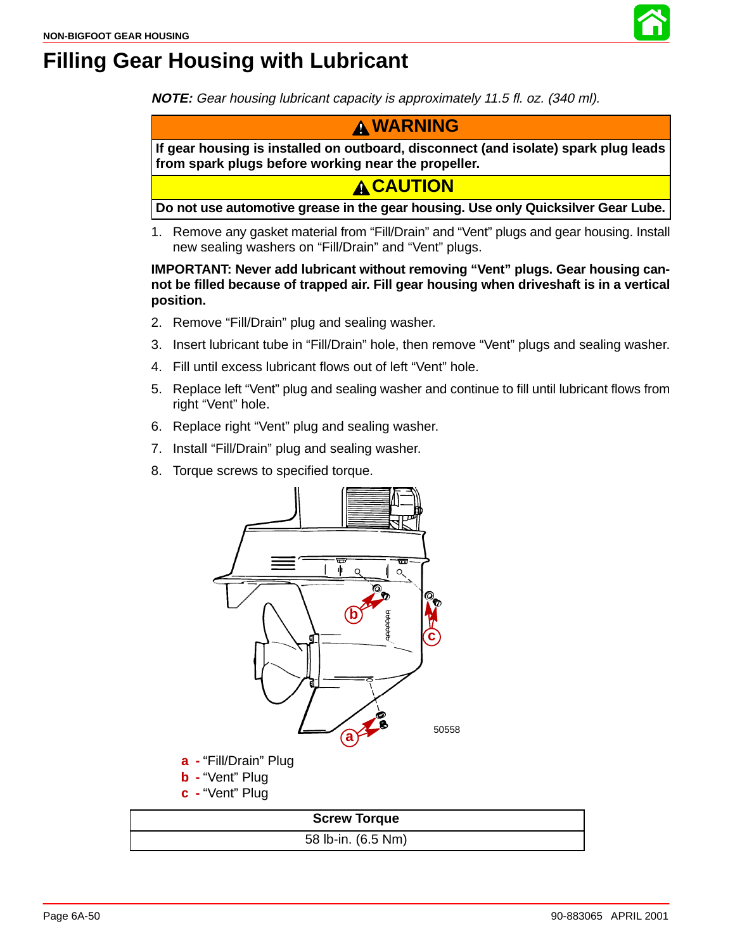![](_page_49_Picture_1.jpeg)

# **Filling Gear Housing with Lubricant**

**NOTE:** Gear housing lubricant capacity is approximately 11.5 fl. oz. (340 ml).

![](_page_49_Picture_4.jpeg)

**If gear housing is installed on outboard, disconnect (and isolate) spark plug leads from spark plugs before working near the propeller.**

**A CAUTION** 

**Do not use automotive grease in the gear housing. Use only Quicksilver Gear Lube.**

1. Remove any gasket material from "Fill/Drain" and "Vent" plugs and gear housing. Install new sealing washers on "Fill/Drain" and "Vent" plugs.

**IMPORTANT: Never add lubricant without removing "Vent" plugs. Gear housing cannot be filled because of trapped air. Fill gear housing when driveshaft is in a vertical position.**

- 2. Remove "Fill/Drain" plug and sealing washer.
- 3. Insert lubricant tube in "Fill/Drain" hole, then remove "Vent" plugs and sealing washer.
- 4. Fill until excess lubricant flows out of left "Vent" hole.
- 5. Replace left "Vent" plug and sealing washer and continue to fill until lubricant flows from right "Vent" hole.
- 6. Replace right "Vent" plug and sealing washer.
- 7. Install "Fill/Drain" plug and sealing washer.
- 8. Torque screws to specified torque.

![](_page_49_Figure_17.jpeg)

58 lb-in. (6.5 Nm)